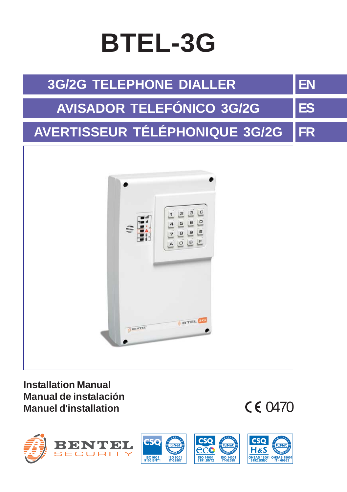# **BTEL-3G**



**Installation Manual Manual de instalación Manuel d'installation**

 $CF 0470$ 

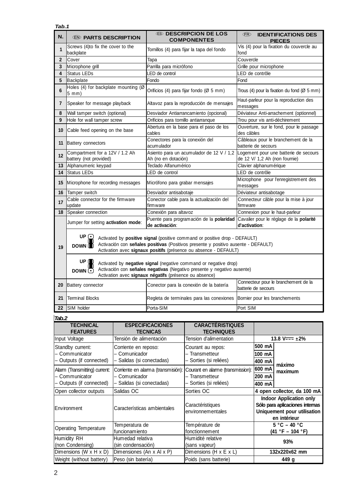|                                      | Tab.1                                                    |                                          |                                                                                                                                                                                                                                             |                                                                                                                                             |                                                          |                                                             |                                                                        |
|--------------------------------------|----------------------------------------------------------|------------------------------------------|---------------------------------------------------------------------------------------------------------------------------------------------------------------------------------------------------------------------------------------------|---------------------------------------------------------------------------------------------------------------------------------------------|----------------------------------------------------------|-------------------------------------------------------------|------------------------------------------------------------------------|
| N.                                   | <b>ED PARTS DESCRIPTION</b>                              |                                          | <b>65 DESCRIPCION DE LOS</b><br><b>COMPONENTES</b>                                                                                                                                                                                          |                                                                                                                                             | (FR)                                                     | <b>IDENTIFICATIONS DES</b><br><b>PIECES</b>                 |                                                                        |
| 1                                    | Screws (4) to fix the cover to the<br>backplate          |                                          | Tornillos (4) para fijar la tapa del fondo                                                                                                                                                                                                  |                                                                                                                                             | Vis (4) pour la fixation du couvercle au<br>fond         |                                                             |                                                                        |
| $\overline{2}$                       | Cover                                                    |                                          | Tapa                                                                                                                                                                                                                                        |                                                                                                                                             | Couvercle                                                |                                                             |                                                                        |
| 3                                    | Microphone grill                                         |                                          | Parrilla para micrófono                                                                                                                                                                                                                     |                                                                                                                                             |                                                          | Grille pour microphone                                      |                                                                        |
| $\overline{4}$                       | <b>Status LEDs</b>                                       |                                          | LED de control                                                                                                                                                                                                                              |                                                                                                                                             |                                                          | LED de contrôle                                             |                                                                        |
| 5                                    | Backplate                                                |                                          | Fondo                                                                                                                                                                                                                                       |                                                                                                                                             | Fond                                                     |                                                             |                                                                        |
| 6                                    | Holes (4) for backplate mounting (Ø<br>5 mm)             |                                          |                                                                                                                                                                                                                                             | Orificios (4) para fijar fondo (Ø 5 mm)                                                                                                     |                                                          | Trous (4) pour la fixation du fond (Ø 5 mm)                 |                                                                        |
| $\overline{1}$                       | Speaker for message playback                             |                                          |                                                                                                                                                                                                                                             | Altavoz para la reproducción de mensajes                                                                                                    |                                                          | Haut-parleur pour la reproduction des<br>messages           |                                                                        |
| 8                                    | Wall tamper switch (optional)                            |                                          |                                                                                                                                                                                                                                             | Desviador Antiarrancamiento (opcional)                                                                                                      |                                                          | Déviateur Anti-arrachement (optionnel)                      |                                                                        |
| 9                                    | Hole for wall tamper screw                               |                                          | Orificios para tornillo antiarranque                                                                                                                                                                                                        |                                                                                                                                             | Trou pour vis anti-déchirement                           |                                                             |                                                                        |
| 10                                   | Cable feed opening on the base                           |                                          | cables                                                                                                                                                                                                                                      | Abertura en la base para el paso de los                                                                                                     | des câbles                                               |                                                             | Ouverture, sur le fond, pour le passage                                |
| 11                                   | <b>Battery connectors</b>                                |                                          | Conectores para la conexión del<br>acumulador                                                                                                                                                                                               |                                                                                                                                             |                                                          | batterie de secours                                         | Câbleaux pour le branchement de la                                     |
| 12                                   | Compartment for a 12V / 1.2 Ah<br>battery (not provided) |                                          | Ah (no en dotación)                                                                                                                                                                                                                         | Asiento para un acumulador de 12 V / 1,2                                                                                                    |                                                          |                                                             | Logement pour une batterie de secours<br>de 12 V/ 1,2 Ah (non fournie) |
| 13                                   | Alphanumeric keypad                                      |                                          | Teclado Alfanumérico                                                                                                                                                                                                                        |                                                                                                                                             |                                                          | Clavier alphanumérique                                      |                                                                        |
| 14                                   | <b>Status LEDs</b>                                       |                                          | LED de control                                                                                                                                                                                                                              |                                                                                                                                             |                                                          | LED de contrôle                                             |                                                                        |
| 15                                   | Microphone for recording messages                        |                                          | Micrófono para grabar mensajes                                                                                                                                                                                                              |                                                                                                                                             | Microphone pour l'enregistrement des<br>messages         |                                                             |                                                                        |
| 16                                   | Tamper switch                                            |                                          | Desviador antisabotaje                                                                                                                                                                                                                      |                                                                                                                                             | Déviateur antisabotage                                   |                                                             |                                                                        |
| 17                                   | Cable connector for the firmware<br>update               |                                          | Conector cable para la actualización del<br>firmware                                                                                                                                                                                        |                                                                                                                                             | Connecteur câble pour la mise à jour<br>firmware         |                                                             |                                                                        |
| 18                                   | Speaker connection                                       |                                          | Conexión para altavoz                                                                                                                                                                                                                       |                                                                                                                                             | Connexion pour le haut-parleur                           |                                                             |                                                                        |
|                                      | Jumper for setting activation mode:                      |                                          | Puente para programación de la polaridad<br>de activación:                                                                                                                                                                                  |                                                                                                                                             | Cavalier pour le réglage de la polarité<br>d'activation: |                                                             |                                                                        |
| 19                                   | UP $\odot$<br><b>DOWN</b>                                |                                          | Activated by <b>positive signal</b> (positive command or positive drop - DEFAULT)<br>Activación con señales positivas (Positivos presente y positivo ausente - DEFAULT)<br>Activation avec signaux positifs (présence ou absence - DEFAULT) |                                                                                                                                             |                                                          |                                                             |                                                                        |
|                                      | UP O<br>DOWN (F)                                         |                                          | Activation avec signaux négatifs (présence ou absence)                                                                                                                                                                                      | Activated by negative signal (negative command or negative drop)<br>Activación con señales negativas (Negativo presente y negativo ausente) |                                                          |                                                             |                                                                        |
| 20                                   | <b>Battery connector</b>                                 |                                          | Conector para la conexión de la batería                                                                                                                                                                                                     |                                                                                                                                             |                                                          | Connecteur pour le branchement de la<br>batterie de secours |                                                                        |
| 21                                   | <b>Terminal Blocks</b>                                   |                                          | Regleta de terminales para las conexiones                                                                                                                                                                                                   |                                                                                                                                             | Bornier pour les branchements                            |                                                             |                                                                        |
| 22                                   | SIM holder                                               |                                          | Porta-SIM                                                                                                                                                                                                                                   |                                                                                                                                             | Port SIM                                                 |                                                             |                                                                        |
| Tab.2                                |                                                          |                                          |                                                                                                                                                                                                                                             |                                                                                                                                             |                                                          |                                                             |                                                                        |
|                                      | <b>TECHNICAL</b><br><b>FEATURES</b>                      |                                          | <b>ESPECIFICACIONES</b><br><b>CARACTÉRISTIQUES</b><br><b>TECNICAS</b><br><b>TECHNIQUES</b>                                                                                                                                                  |                                                                                                                                             |                                                          |                                                             |                                                                        |
| Input Voltage                        |                                                          | Tensión de alimentación                  |                                                                                                                                                                                                                                             | Tension d'alimentation                                                                                                                      |                                                          |                                                             | 13.8 V <sub>TT</sub> $\pm$ 2%                                          |
| Standby current:                     |                                                          | Corriente en reposo:                     | Courant au repos:                                                                                                                                                                                                                           |                                                                                                                                             |                                                          | 500 mA                                                      |                                                                        |
| - Communicator                       |                                                          | - Comunicador                            | - Transmetteur                                                                                                                                                                                                                              |                                                                                                                                             |                                                          | 100 mA                                                      |                                                                        |
| Outputs (if connected)               |                                                          | - Salidas (si conectadas)                | Sorties (si reliées)                                                                                                                                                                                                                        |                                                                                                                                             |                                                          | 400 mA                                                      |                                                                        |
|                                      |                                                          |                                          |                                                                                                                                                                                                                                             |                                                                                                                                             |                                                          | 600 mA                                                      | máximo                                                                 |
| Alarm (Transmitting) current:        |                                                          |                                          | Corriente en alarma (transmisión):<br>Courant en alarme (transmission):                                                                                                                                                                     |                                                                                                                                             |                                                          |                                                             | maximum                                                                |
| - Communicator                       |                                                          | - Comunicador<br>Salidas (si conectadas) |                                                                                                                                                                                                                                             | - Transmetteur                                                                                                                              |                                                          | 200 mA                                                      |                                                                        |
| - Outputs (if connected)             |                                                          |                                          |                                                                                                                                                                                                                                             | Sorties (si reliées)                                                                                                                        |                                                          | 400 mA                                                      |                                                                        |
| Salidas OC<br>Open collector outputs |                                                          |                                          | Sorties OC                                                                                                                                                                                                                                  |                                                                                                                                             |                                                          | 4 open collector, da 100 mA                                 |                                                                        |
|                                      |                                                          |                                          |                                                                                                                                                                                                                                             |                                                                                                                                             |                                                          |                                                             | <b>Indoor Application only</b>                                         |
| Environment                          |                                                          | Características ambientales              |                                                                                                                                                                                                                                             | Caractéristiques<br>environnem entales                                                                                                      |                                                          |                                                             | Sólo para aplicaciones internas<br>Uniquement pour utilisation         |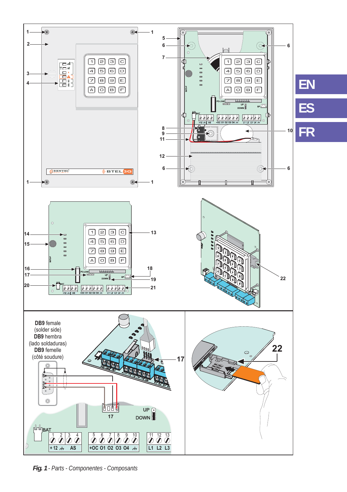

*Fig. 1 - Parts - Componentes - Composants*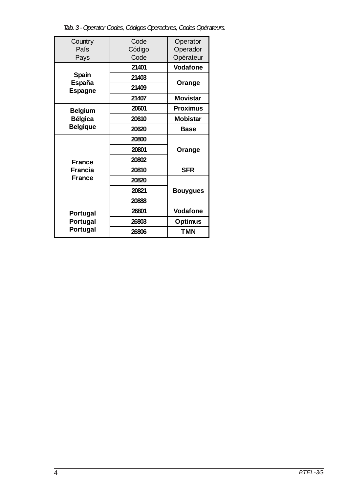*Tab. 3 - Operator Codes, Códigos Operadores, Codes Opérateurs.*

|                 | Code   |                 |  |
|-----------------|--------|-----------------|--|
| Country         |        | Operator        |  |
| País            | Código | Operador        |  |
| Pays            | Code   | Opérateur       |  |
|                 | 21401  | Vodafone        |  |
| Spain<br>España | 21403  | Orange          |  |
| <b>Espagne</b>  | 21409  |                 |  |
|                 | 21407  | <b>Movistar</b> |  |
| <b>Belgium</b>  | 20601  | <b>Proximus</b> |  |
| Bélgica         | 20610  | Mobistar        |  |
| <b>Belgique</b> | 20620  | <b>Base</b>     |  |
|                 | 20800  |                 |  |
|                 | 20801  | Orange          |  |
| <b>France</b>   | 20802  |                 |  |
| Francia         | 20810  | <b>SFR</b>      |  |
| <b>France</b>   | 20820  |                 |  |
|                 | 20821  | <b>Bouygues</b> |  |
|                 | 20888  |                 |  |
| Portugal        | 26801  | Vodafone        |  |
| Portugal        | 26803  | <b>Optimus</b>  |  |
| Portugal        | 26806  | <b>TMN</b>      |  |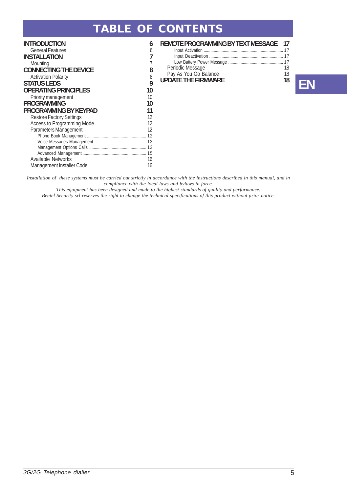### **TABLE OF CONTENTS**

| INTRODUCTION                    | 6  |
|---------------------------------|----|
| <b>General Features</b>         | 6  |
| INSTALLATION                    | 7  |
| Mounting                        | 7  |
| <b>CONNECTING THE DEVICE</b>    | 8  |
| <b>Activation Polarity</b>      | 8  |
| STATUS LEDS                     | 9  |
| OPERATING PRINCIPLES            | 10 |
| Priority management             | 10 |
| PROGRAMMIÑG                     | 10 |
| PROGRAMMING BY KEYPAD           | 11 |
| <b>Restore Factory Settings</b> | 12 |
| Access to Programming Mode      | 12 |
| Parameters Management           | 12 |
|                                 |    |
|                                 |    |
|                                 |    |
| <b>Available Networks</b>       | 16 |
| Management Installer Code       | 16 |
|                                 |    |

#### **REMOTE PROGRAMMING BY TEXT MESSAGE 17** Input Activation ....................................................................... 17 Input Deactivation .................................................................. 17 Low Battery Power Message ................................................. 17 Periodic Message 18<br>
Pay As You Go Balance 18 Pay As You Go Balance 18<br>**UPDATE THE FIRMWARE 18**



*Installation of these systems must be carried out strictly in accordance with the instructions described in this manual, and in compliance with the local laws and bylaws in force.*

*This equipment has been designed and made to the highest standards of quality and performance.*

*Bentel Security srl reserves the right to change the technical specifications of this product without prior notice.*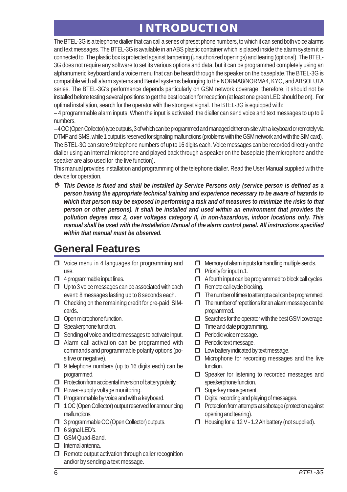# **INTRODUCTION**

The BTEL-3G is a telephone dialler that can call a series of preset phone numbers, to which it can send both voice alarms and text messages. The BTEL-3G is available in an ABS plastic container which is placed inside the alarm system it is connected to. The plastic box is protected against tampering (unauthorized openings) and tearing (optional). The BTEL-3G does not require any software to set its various options and data, but it can be programmed completely using an alphanumeric keyboard and a voice menu that can be heard through the speaker on the baseplate.The BTEL-3G is compatible with all alarm systems and Bentel systems belonging to the NORMA8/NORMA4, KYO, and ABSOLUTA series. The BTEL-3G's performance depends particularly on GSM network coverage; therefore, it should not be installed before testing several positions to get the best location for reception (at least one green LED should be on). For optimal installation, search for the operator with the strongest signal. The BTEL-3G is equipped with:

– 4 programmable alarm inputs. When the input is activated, the dialler can send voice and text messages to up to 9 numbers.

– 4 OC (Open Collector) type outputs, 3 of which can be programmed and managed either on-site with a keyboard or remotely via DTMF and SMS, while 1 output is reserved for signaling malfunctions (problems with the GSM network and with the SIM card). The BTEL-3G can store 9 telephone numbers of up to 16 digits each. Voice messages can be recorded directly on the dialler using an internal microphone and played back through a speaker on the baseplate (the microphone and the speaker are also used for the live function).

This manual provides installation and programming of the telephone dialler. Read the User Manual supplied with the device for operation.

 *This Device is fixed and shall be installed by Service Persons only (service person is defined as a person having the appropriate technical training and experience necessary to be aware of hazards to which that person may be exposed in performing a task and of measures to minimize the risks to that person or other persons). It shall be installed and used within an environment that provides the pollution degree max 2, over voltages category II, in non-hazardous, indoor locations only. This manual shall be used with the Installation Manual of the alarm control panel. All instructions specified within that manual must be observed.*

# **General Features**

- □ Voice menu in 4 languages for programming and use.
- $\Box$  4 programmable input lines.
- $\Box$  Up to 3 voice messages can be associated with each event: 8 messages lasting up to 8 seconds each.
- $\Box$  Checking on the remaining credit for pre-paid SIMcards.
- Open microphone function.
- **Speakerphone function.**
- $\Box$  Sending of voice and text messages to activate input.
- $\Box$  Alarm call activation can be programmed with commands and programmable polarity options (positive or negative).
- $\Box$  9 telephone numbers (up to 16 digits each) can be programmed.
- $\Box$  Protection from accidental inversion of battery polarity.
- **Power-supply voltage monitoring.**
- $\Box$  Programmable by voice and with a keyboard.
- 1 OC (Open Collector) output reserved for announcing malfunctions.
- **3** programmable OC (Open Collector) outputs.
- 6 signal LED's.
- GSM Quad-Band.
- $\Box$  Internal antenna.
- $\Box$  Remote output activation through caller recognition and/or by sending a text message.
- $\Box$  Memory of alarm inputs for handling multiple sends.
- $\Box$  Priority for input n.1.
- $\Box$  A fourth input can be programmed to block call cycles.
- Remote call cycle blocking.
- $\Box$  The number of times to attempt a call can be programmed.
- $\Box$  The number of repetitions for an alarm message can be programmed.
- $\Box$  Searches for the operator with the best GSM coverage.
- $\Box$  Time and date programming.
- **Periodic voice message.**
- **Periodic text message.**
- $\Box$  Low battery indicated by text message.
- $\Box$  Microphone for recording messages and the live function.
- □ Speaker for listening to recorded messages and speakerphone function.
- Superkey management.
- $\Box$  Digital recording and playing of messages.
- $\Box$  Protection from attempts at sabotage (protection against opening and tearing).
- Housing for a 12 V 1.2 Ah battery (not supplied).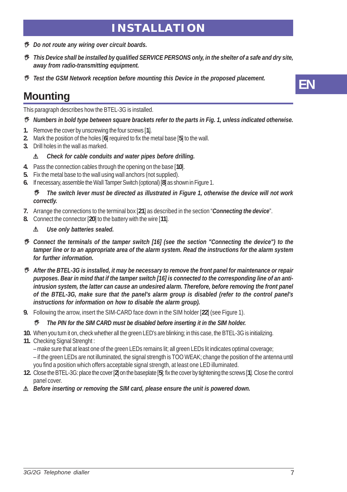### **INSTALLATION**

- *Do not route any wiring over circuit boards.*
- *This Device shall be installed by qualified SERVICE PERSONS only, in the shelter of a safe and dry site, away from radio-transmitting equipment.*
- *Test the GSM Network reception before mounting this Device in the proposed placement.*

# **Mounting**

This paragraph describes how the BTEL-3G is installed.

- *Numbers in bold type between square brackets refer to the parts in Fig. 1, unless indicated otherwise.*
- **1.** Remove the cover by unscrewing the four screws [**1**].
- **2.** Mark the position of the holes [**6**] required to fix the metal base [**5**] to the wall.
- **3.** Drill holes in the wall as marked.

#### ! *Check for cable conduits and water pipes before drilling.*

- **4.** Pass the connection cables through the opening on the base [**10**].
- **5.** Fix the metal base to the wall using wall anchors (not supplied).
- **6.** If necessary, assemble the Wall Tamper Switch (optional) [**8**] as shown in Figure 1.

#### *The switch lever must be directed as illustrated in Figure 1, otherwise the device will not work correctly.*

- **7.** Arrange the connections to the terminal box [**21**] as described in the section "*Connecting the device*".
- **8.** Connect the connector [**20**] to the battery with the wire [**11**].

#### ! *Use only batteries sealed.*

- *Connect the terminals of the tamper switch [16] (see the section "Connecting the device") to the tamper line or to an appropriate area of the alarm system. Read the instructions for the alarm system for further information.*
- *After the BTEL-3G is installed, it may be necessary to remove the front panel for maintenance or repair purposes. Bear in mind that if the tamper switch [16] is connected to the corresponding line of an antiintrusion system, the latter can cause an undesired alarm. Therefore, before removing the front panel of the BTEL-3G, make sure that the panel's alarm group is disabled (refer to the control panel's instructions for information on how to disable the alarm group).*
- **9.** Following the arrow, insert the SIM-CARD face down in the SIM holder [**22**] (see Figure 1).

#### *The PIN for the SIM CARD must be disabled before inserting it in the SIM holder.*

- **10.** When you turn it on, check whether all the green LED's are blinking; in this case, the BTEL-3G is initializing.
- **11.** Checking Signal Strenght :

– make sure that at least one of the green LEDs remains lit; all green LEDs lit indicates optimal coverage;

– if the green LEDs are not illuminated, the signal strength is TOO WEAK; change the position of the antenna until you find a position which offers acceptable signal strength, at least one LED illuminated.

**12.** Close the BTEL-3G: place the cover [**2**] on the baseplate [**5**]; fix the cover by tightening the screws [**1**]. Close the control panel cover.

#### ! *Before inserting or removing the SIM card, please ensure the unit is powered down.*

**EN**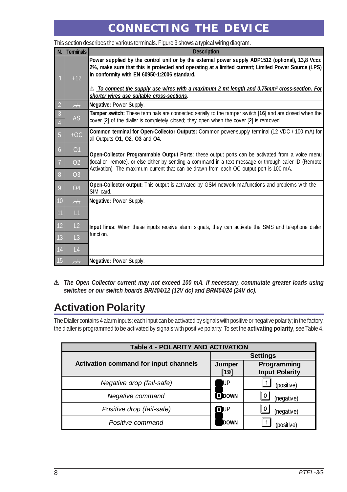# **CONNECTING THE DEVICE**

| N.                               | <b>Terminals</b>         | <b>Description</b>                                                                                                                                                                                                                                                                                                                                                                                                  |
|----------------------------------|--------------------------|---------------------------------------------------------------------------------------------------------------------------------------------------------------------------------------------------------------------------------------------------------------------------------------------------------------------------------------------------------------------------------------------------------------------|
|                                  | $+12$                    | Power supplied by the control unit or by the external power supply ADP1512 (optional), 13,8 Vcc $\pm$<br>2%, make sure that this is protected and operating at a limited current; Limited Power Source (LPS)<br>in conformity with EN 60950-1:2006 standard.<br>$\mathbb A$ To connect the supply use wires with a maximum 2 mt length and 0.75mm² cross-section. For<br>shorter wires use suitable cross-sections. |
| $\overline{2}$                   | $\overline{\mathcal{L}}$ | Negative: Power Supply.                                                                                                                                                                                                                                                                                                                                                                                             |
| $\overline{3}$<br>$\overline{4}$ | <b>AS</b>                | Tamper switch: These terminals are connected serially to the tamper switch [16] and are closed when the<br>cover [2] of the dialler is completely closed; they open when the cover [2] is removed.                                                                                                                                                                                                                  |
| $\overline{5}$                   | $+OC$                    | Common terminal for Open-Collector Outputs: Common power-supply terminal (12 VDC / 100 mA) for<br>all Outputs 01, 02, 03 and 04.                                                                                                                                                                                                                                                                                    |
| $6\overline{6}$                  | O <sub>1</sub>           | Open-Collector Programmable Output Ports: these output ports can be activated from a voice menu                                                                                                                                                                                                                                                                                                                     |
|                                  | 02                       | (local or remote), or else either by sending a command in a text message or through caller ID (Remote)<br>Activation). The maximum current that can be drawn from each OC output port is 100 mA.                                                                                                                                                                                                                    |
| 8                                | O <sub>3</sub>           |                                                                                                                                                                                                                                                                                                                                                                                                                     |
| 9                                | O <sub>4</sub>           | Open-Collector output: This output is activated by GSM network malfunctions and problems with the<br>SIM card.                                                                                                                                                                                                                                                                                                      |
| $10$                             | $\overline{\mathcal{L}}$ | Negative: Power Supply.                                                                                                                                                                                                                                                                                                                                                                                             |
| 11                               | L1                       |                                                                                                                                                                                                                                                                                                                                                                                                                     |
| 12                               | L <sub>2</sub>           | <b>Input lines</b> : When these inputs receive alarm signals, they can activate the SMS and telephone dialer                                                                                                                                                                                                                                                                                                        |
| 13                               | L <sub>3</sub>           | function.                                                                                                                                                                                                                                                                                                                                                                                                           |
| 14                               | L4                       |                                                                                                                                                                                                                                                                                                                                                                                                                     |
| <b>15</b>                        | $\overline{\mathcal{L}}$ | Negative: Power Supply.                                                                                                                                                                                                                                                                                                                                                                                             |

This section describes the various terminals. Figure 3 shows a typical wiring diagram.

! *The Open Collector current may not exceed 100 mA. If necessary, commutate greater loads using switches or our switch boards BRM04/12 (12V dc) and BRM04/24 (24V dc).*

# **Activation Polarity**

The Dialler contains 4 alarm inputs; each input can be activated by signals with positive or negative polarity; in the factory, the dialler is programmed to be activated by signals with positive polarity. To set the **activating polarity**, see Table 4.

| <b>Table 4 - POLARITY AND ACTIVATION</b> |                 |                                      |  |  |
|------------------------------------------|-----------------|--------------------------------------|--|--|
|                                          | <b>Settings</b> |                                      |  |  |
| Activation command for input channels    | Jumper<br>[19]  | Programming<br><b>Input Polarity</b> |  |  |
| Negative drop (fail-safe)                | IJР             | (positive)                           |  |  |
| Negative command                         | <b>DOWN</b>     | 0<br>(negative)                      |  |  |
| Positive drop (fail-safe)                | $\blacksquare$  | (negative)                           |  |  |
| Positive command                         | DOWN            | (positive)                           |  |  |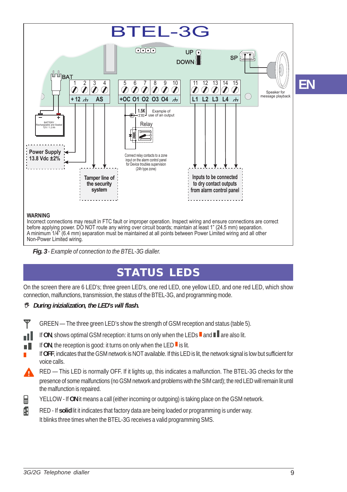

*Fig. 3 - Example of connection to the BTEL-3G dialler.*

# **STATUS LEDS**

On the screen there are 6 LED's; three green LED's, one red LED, one yellow LED, and one red LED, which show connection, malfunctions, transmission, the status of the BTEL-3G, and programming mode.

#### *During inizialization, the LED's will flash.*

- GREEN The three green LED's show the strength of GSM reception and status (table 5).
	- If **ON**, shows optimal GSM reception: it turns on only when the LEDs  $\blacksquare$  and  $\blacksquare$  are also lit.
	- If ON, the reception is good: it turns on only when the LED  $\blacksquare$  is lit.
- If **OFF**, indicates that the GSM network is NOT available. If this LED is lit, the network signal is low but sufficient for voice calls.
- RED *—* This LED is normally OFF. If it lights up, this indicates a malfunction. The BTEL-3G checks for tthe presence of some malfunctions (no GSM network and problems with the SIM card); the red LED will remain lit until the malfunction is repaired.
- 目 YELLOW - If **ON** it means a call (either incoming or outgoing) is taking place on the GSM network.
- A RED - If **solid** lit it indicates that factory data are being loaded or programming is under way. It blinks three times when the BTEL-3G receives a valid programming SMS.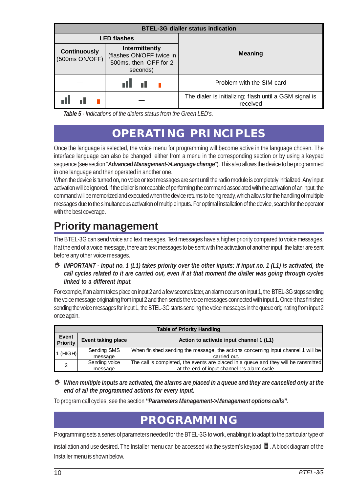| <b>BTEL-3G dialler status indication</b>                                                                                 |                    |                                                                     |  |  |  |
|--------------------------------------------------------------------------------------------------------------------------|--------------------|---------------------------------------------------------------------|--|--|--|
|                                                                                                                          | <b>LED flashes</b> |                                                                     |  |  |  |
| Intermittently<br><b>Continuously</b><br>(flashes ON/OFF twice in<br>(500ms ON/OFF)<br>500ms, then OFF for 2<br>seconds) |                    | <b>Meaning</b>                                                      |  |  |  |
|                                                                                                                          |                    | Problem with the SIM card                                           |  |  |  |
|                                                                                                                          |                    | The dialer is initializing; flash until a GSM signal is<br>received |  |  |  |

*Table 5 - Indications of the dialers status from the Green LED's.*

# **OPERATING PRINCIPLES**

Once the language is selected, the voice menu for programming will become active in the language chosen. The interface language can also be changed, either from a menu in the corresponding section or by using a keypad sequence (see section "*Advanced Management->Language change*"). This also allows the device to be programmed in one language and then operated in another one.

When the device is turned on, no voice or text messages are sent until the radio module is completely initialized. Any input activation will be ignored. If the dialler is not capable of performing the command associated with the activation of an input, the command will be memorized and executed when the device returns to being ready, which allows for the handling of multiple messages due to the simultaneous activation of multiple inputs. For optimal installation of the device, search for the operator with the best coverage.

# **Priority management**

The BTEL-3G can send voice and text mesages. Text messages have a higher priority compared to voice messages. If at the end of a voice message, there are text messages to be sent with the activation of another input, the latter are sent before any other voice mesages.

 *IMPORTANT - Input no. 1 (L1) takes priority over the other inputs: if input no. 1 (L1) is activated, the call cycles related to it are carried out, even if at that moment the dialler was going through cycles linked to a different input.*

For example, if an alarm takes place on input 2 and a few seconds later, an alarm occurs on input 1, the BTEL-3G stops sending the voice message originating from input 2 and then sends the voice messages connected with input 1. Once it has finished sending the voice messages for input 1, the BTEL-3G starts sending the voice messages in the queue originating from input 2 once again.

|                          | <b>Table of Priority Handling</b> |                                                                                     |  |  |  |  |
|--------------------------|-----------------------------------|-------------------------------------------------------------------------------------|--|--|--|--|
| Event<br><b>Priority</b> | Event taking place                | Action to activate input channel 1 (L1)                                             |  |  |  |  |
| 1 (HIGH)                 | Sending SMS                       | When finished sending the message, the actions concerning input channel 1 will be   |  |  |  |  |
|                          | message                           | carried out.                                                                        |  |  |  |  |
| 2                        | Sending voice                     | The call is completed, the events are placed in a queue and they will be ransmitted |  |  |  |  |
|                          | message                           | at the end of input channel 1's alarm cycle.                                        |  |  |  |  |

 *When multiple inputs are activated, the alarms are placed in a queue and they are cancelled only at the end of all the programmed actions for every input.*

To program call cycles, see the section **"***Parameters Management->Management options calls***"**.

### **PROGRAMMING**

Programming sets a series of parameters needed for the BTEL-3G to work, enabling it to adapt to the particular type of

installation and use desired. The Installer menu can be accessed via the system's keypad  $\Box$ . A block diagram of the Installer menu is shown below.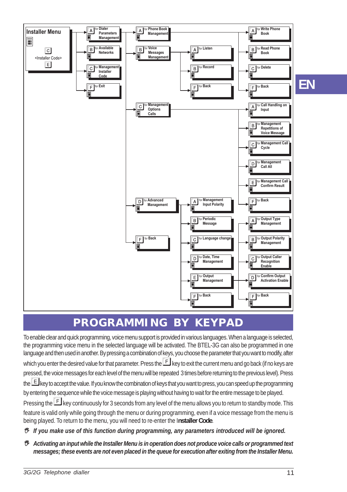

# **PROGRAMMING BY KEYPAD**

To enable clear and quick programming, voice menu support is provided in various languages. When a language is selected, the programming voice menu in the selected language will be activated. The BTEL-3G can also be programmed in one language and then used in another. By pressing a combination of keys, you choose the parameter that you want to modify, after which you enter the desired value for that parameter. Press the  $E$  key to exit the current menu and go back (if no keys are pressed, the voice messages for each level of the menu will be repeated 3 times before returning to the previous level). Press the **E** key to accept the value. If you know the combination of keys that you want to press, you can speed up the programming by entering the sequence while the voice message is playing without having to wait for the entire message to be played. Pressing the **F** key continuously for 3 seconds from any level of the menu allows you to return to standby mode. This feature is valid only while going through the menu or during programming, even if a voice message from the menu is being played. To return to the menu, you will need to re-enter the I**nstaller Code**.

- *If you make use of this function during programming, any parameters introduced will be ignored.*
- *Activating an input while the Installer Menu is in operation does not produce voice calls or programmed text messages; these events are not even placed in the queue for execution after exiting from the Installer Menu.*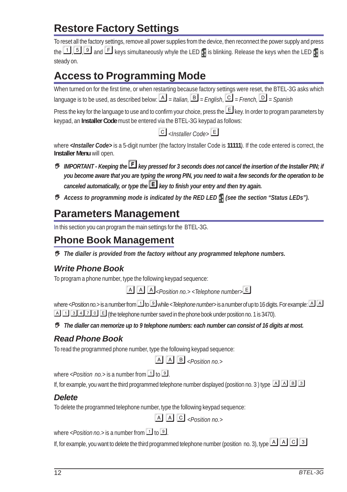# **Restore Factory Settings**

To reset all the factory settings, remove all power supplies from the device, then reconnect the power supply and press the  $\Box$   $\Box$  and  $\Box$  keys simultaneously whyle the LED  $\Box$  is blinking. Release the keys when the LED  $\Box$  is steady on.

# **Access to Programming Mode**

When turned on for the first time, or when restarting because factory settings were reset, the BTEL-3G asks which language is to be used, as described below:  $\boxed{A}$  = Italian,  $\boxed{B}$  = *English*,  $\boxed{C}$  = *French*,  $\boxed{D}$  = *Spanish* 

Press the key for the language to use and to confirm your choice, press the  $\Box$  key. In order to program parameters by keypad, an **Installer Code** must be entered via the BTEL-3G keypad as follows:

*<Installer Code>*

where **<Installer Code**> is a 5-digit number (the factory Installer Code is 11111). If the code entered is correct, the **Installer Menu** will open.

- *IMPORTANT Keeping the key pressed for 3 seconds does not cancel the insertion of the Installer PIN; if you become aware that you are typing the wrong PIN, you need to wait a few seconds for the operation to be canceled automatically, or type the key to finish your entry and then try again.*
- *Access to programming mode is indicated by the RED LED (see the section "Status LEDs").*

### **Parameters Management**

In this section you can program the main settings for the BTEL-3G.

### **Phone Book Management**

*The dialler is provided from the factory without any programmed telephone numbers.*

### *Write Phone Book*

To program a phone number, type the following keypad sequence:

*<Position no.> <Telephone number>*

where <*Position no.*> is a number from **T** to **D** while < *Telephone number*> is a number of up to 16 digits. For example: **A** A  $\boxed{A}$   $\boxed{1}$   $\boxed{3}$   $\boxed{1}$   $\boxed{2}$   $\boxed{1}$   $\boxed{6}$  (the telephone number saved in the phone book under position no. 1 is 3470).

*The dialler can memorize up to 9 telephone numbers: each number can consist of 16 digits at most.*

### *Read Phone Book*

To read the programmed phone number, type the following keypad sequence:

```
[A][A][B]<sub><Position no.></sup></sub>
```
where  $\leq$  *Position no.* > is a number from  $\boxed{1}$  to  $\boxed{9}$ .

If, for example, you want the third programmed telephone number displayed (position no. 3) type  $\boxed{A}$   $\boxed{B}$   $\boxed{3}$ 

### *Delete*

To delete the programmed telephone number, type the following keypad sequence:

 $[A][A][C]$ <sub><Position no.></sup></sub>

where *<Position no.*> is a number from  $1$  to  $9$ .

If, for example, you want to delete the third programmed telephone number (position no. 3), type  $\boxed{A}\boxed{C}$  3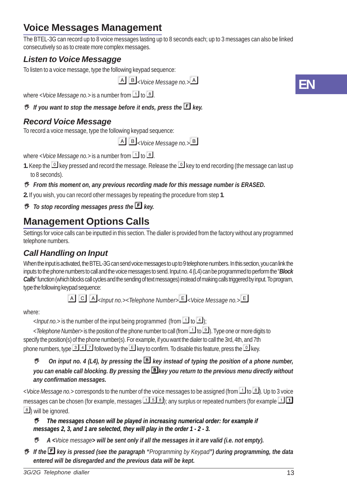# **Voice Messages Management**

The BTEL-3G can record up to 8 voice messages lasting up to 8 seconds each; up to 3 messages can also be linked consecutively so as to create more complex messages.

### *Listen to Voice Messagge*

To listen to a voice message, type the following keypad sequence:

*<Voice Message no.>*

where *<Voice Message no.*> is a number from  $\boxed{1}$  to  $\boxed{8}$ .

*B* If you want to stop the message before it ends, press the *E* key.

### *Record Voice Message*

To record a voice message, type the following keypad sequence:

*<Voice Message no.>*

where *<Voice Message no.*> is a number from  $\boxed{1}$  to  $\boxed{8}$ .

**1.** Keep the  $\Box$  key pressed and record the message. Release the  $\Box$  key to end recording (the message can last up to 8 seconds).

#### *From this moment on, any previous recording made for this message number is ERASED.*

**2.** If you wish, you can record other messages by repeating the procedure from step **1**.

 $\bullet$  *To stop recording messages press the E key.* 

### **Management Options Calls**

Settings for voice calls can be inputted in this section. The dialler is provided from the factory without any programmed telephone numbers.

### *Call Handling on Input*

When the input is activated, the BTEL-3G can send voice messages to up to 9 telephone numbers. In this section, you can link the inputs to the phone numbers to call and the voice messages to send. Input no. 4 (L4) can be programmed to perform the "*Block Calls*" function (which blocks call cycles and the sending of text messages) instead of making calls triggered by input. To program, type the following keypad sequence:

*<Input no.><Telephone Number><Voice Message no.>*

#### where:

 $\langle$  /*nput no.*> is the number of the input being programmed (from  $\boxed{1}$  to  $\boxed{4}$ );

< *Telephone Number*> is the position of the phone number to call (from **1** to **9**). Type one or more digits to specify the position(s) of the phone number(s). For example, if you want the dialer to call the 3rd, 4th, and 7th phone numbers, type  $\boxed{3}$   $\boxed{4}$  followed by the  $\boxed{5}$  key to confirm. To disable this feature, press the  $\boxed{0}$  key.

#### *On input no. 4 (L4), by pressing the key instead of typing the position of a phone number, you can enable call blocking. By pressing the key you return to the previous menu directly without any confirmation messages.*

< *Voice Message no.*> corresponds to the number of the voice messages to be assigned (from **1** to **8**). Up to 3 voice messages can be chosen (for example, messages  $\Box$  5  $\Box$ ); any surplus or repeated numbers (for example  $\Box$   $\Box$ **8**) will be ignored.

#### *The messages chosen will be played in increasing numerical order: for example if messages 2, 3, and 1 are selected, they will play in the order 1 - 2 - 3.*

- *A <Voice message> will be sent only if all the messages in it are valid (i.e. not empty).*
- *If the key is pressed (see the paragraph "Programming by Keypad") during programming, the data entered will be disregarded and the previous data will be kept.*

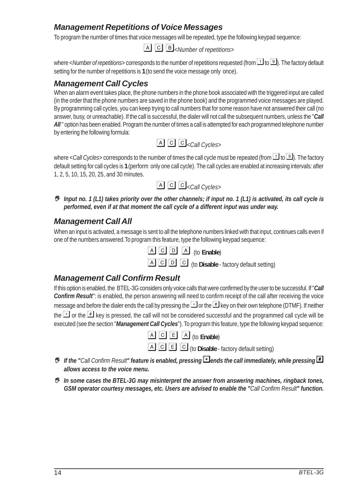### *Management Repetitions of Voice Messages*

To program the number of times that voice messages will be repeated, type the following keypad sequence:

*<Number of repetitions>*

where < *Number of repetitions*> corresponds to the number of repetitions requested (from **1** to **1**). The factory default setting for the number of repetitions is **1** (to send the voice message only once).

#### *Management Call Cycles*

When an alarm event takes place, the phone numbers in the phone book associated with the triggered input are called (in the order that the phone numbers are saved in the phone book) and the programmed voice messages are played. By programming call cycles, you can keep trying to call numbers that for some reason have not answered their call (no answer, busy, or unreachable). If the call is successful, the dialer will not call the subsequent numbers, unless the "*Call* All " option has been enabled. Program the number of times a call is attempted for each programmed telephone number by entering the following formula:



where  $\lt Call Cycles$  corresponds to the number of times the call cycle must be repeated (from  $\Box$  to  $\Box$ ). The factory default setting for call cycles is **1** (perform only one call cycle). The call cycles are enabled at increasing intervals: after 1, 2, 5, 10, 15, 20, 25, and 30 minutes.



 *Input no. 1 (L1) takes priority over the other channels; if input no. 1 (L1) is activated, its call cycle is performed, even if at that moment the call cycle of a different input was under way.*

#### *Management Call All*

When an input is activated, a message is sent to all the telephone numbers linked with that input, continues calls even if one of the numbers answered.To program this feature, type the following keypad sequence:

**EX E E E E E Enable** 

(to **Disable** - factory default setting)

#### *Management Call Confirm Result*

If this option is enabled, the BTEL-3G considers only voice calls that were confirmed by the user to be successful. If "*Call Confirm Result*": is enabled, the person answering will need to confirm receipt of the call after receiving the voice message and before the dialer ends the call by pressing the  $\Box$  or the  $\Box$  key on their own telephone (DTMF). If neither the  $\leq$  or the  $\equiv$  key is pressed, the call will not be considered successful and the programmed call cycle will be executed (see the section "*Management Call Cycles*"). To program this feature, type the following keypad sequence:



(to **Disable** - factory default setting)

- *If the "Call Confirm Result" feature is enabled, pressing ends the call immediately, while pressing allows access to the voice menu.*
- *In some cases the BTEL-3G may misinterpret the answer from answering machines, ringback tones, GSM operator courtesy messages, etc. Users are advised to enable the "Call Confirm Result" function.*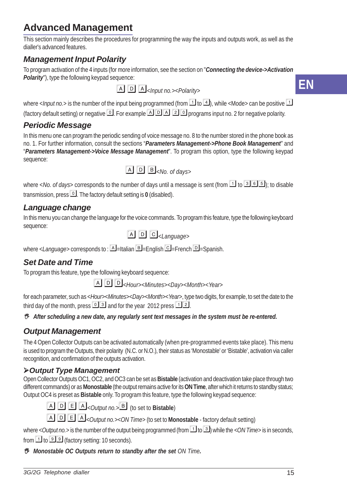# **Advanced Management**

This section mainly describes the procedures for programming the way the inputs and outputs work, as well as the dialler's advanced features.

### *Management Input Polarity*

To program activation of the 4 inputs (for more information, see the section on "*Connecting the device->Activation Polarity*"), type the following keypad sequence:

*<Input no.><Polarity>*



where <*Input no.*> is the number of the input being programmed (from  $1$  to  $4$ ), while <Mode> can be positive  $1$ (factory default setting) or negative  $\boxed{0}$ . For example  $\boxed{1}$   $\boxed{2}$   $\boxed{3}$  programs input no. 2 for negative polarity.

### *Periodic Message*

In this menu one can program the periodic sending of voice message no. 8 to the number stored in the phone book as no. 1. For further information, consult the sections "*Parameters Management->Phone Book Management*" and "*Parameters Management->Voice Message Management*". To program this option, type the following keypad sequence:

*<No. of days>*

where  $\langle$ *No. of days*> corresponds to the number of days until a message is sent (from  $\boxed{1}$  to  $\boxed{3}$   $\boxed{5}$ ); to disable transmission, press  $\boxed{\circ}$ . The factory default setting is 0 (disabled).

### *Language change*

In this menu you can change the language for the voice commands. To program this feature, type the following keyboard sequence:

*<Language>*

where *<Language>* corresponds to : **A** = Italian **B** = English **C** = French **D** = Spanish.

### *Set Date and Time*

To program this feature, type the following keyboard sequence:

<*Hour*><*Minutes*><*Day*><*Month*><*Year*<sup>&</sup>gt;

for each parameter, such as <*Hour*><*Minutes*><*Day*><*Month*><*Year*>, type two digits, for example, to set the date to the third day of the month, press  $\boxed{0}$  3 and for the year 2012 press  $\boxed{1}$  2.

*After scheduling a new date, any regularly sent text messages in the system must be re-entered.*

### *Output Management*

The 4 Open Collector Outputs can be activated automatically (when pre-programmed events take place). This menu is used to program the Outputs, their polarity (N.C. or N.O.), their status as 'Monostable' or 'Bistable', activation via caller recognition, and confirmation of the outputs activation.

### *Output Type Management*

Open Collector Outputs OC1, OC2, and OC3 can be set as **Bistable** (activation and deactivation take place through two different commands) or as **Monostable** (the output remains active for its **ON Time**, after which it returns to standby status; Output OC4 is preset as **Bistable** only. To program this feature, type the following keypad sequence:

 $\boxed{A}$   $\boxed{D}$   $\boxed{E}$   $\boxed{A}$ *<Output no.*  $\boxed{B}$  (to set to **Bistable**)

*<Output no.><ON Time>* (to set to **Monostable** - factory default setting)

where  $<$  *Output no.*> is the number of the output being programmed (from  $\Box$  to  $\Box$ ) while the  $<$  *ON Time*> is in seconds, from  $\boxed{1}$  to  $\boxed{9}$  (factory setting: 10 seconds).

*Monostable OC Outputs return to standby after the set ON Time.*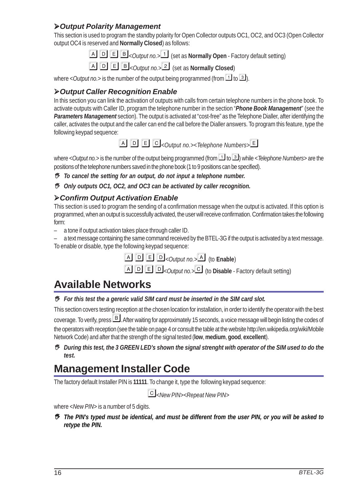#### *Output Polarity Management*

This section is used to program the standby polarity for Open Collector outputs OC1, OC2, and OC3 (Open Collector output OC4 is reserved and **Normally Closed**) as follows:

- **A D E B** < *Output no.* > 1 (set as **Normally Open** Factory default setting)
- $\boxed{A}$   $\boxed{D}$   $\boxed{E}$   $\boxed{B}$ *<Output no.*  $\boxed{2}$  (set as **Normally Closed**)

where  $< Output no.$ > is the number of the output being programmed (from  $1$  to  $3$ ).

#### *Output Caller Recognition Enable*

In this section you can link the activation of outputs with calls from certain telephone numbers in the phone book. To activate outputs with Caller ID, program the telephone number in the section "*Phone Book Management*" (see the *Parameters Management* section). The output is activated at "cost-free" as the Telephone Dialler, after identifying the caller, activates the output and the caller can end the call before the Dialler answers. To program this feature, type the following keypad sequence:

*<Output no.><Telephone Numbers>*

where < *Output no.*> is the number of the output being programmed (from  $1$  to  $3$ ) while < *Telephone Numbers*> are the positions of the telephone numbers saved in the phone book (1 to 9 positions can be specified).

- *To cancel the setting for an output, do not input a telephone number.*
- *Only outputs OC1, OC2, and OC3 can be activated by caller recognition.*

#### *Confirm Output Activation Enable*

This section is used to program the sending of a confirmation message when the output is activated. If this option is programmed, when an output is successfully activated, the user will receive confirmation. Confirmation takes the following form:

- a tone if output activation takes place through caller ID.
- a text message containing the same command received by the BTEL-3G if the output is activated by a text message. To enable or disable, type the following keypad sequence:



**A D E D**<sub><*Output no.*<sup>2</sup> (to **Disable** - Factory default setting)</sub>

# **Available Networks**

*For this test the a gereric valid SIM card must be inserted in the SIM card slot.*

This section covers testing reception at the chosen location for installation, in order to identify the operator with the best coverage. To verify, press **B**, After waiting for approximately 15 seconds, a voice message will begin listing the codes of the operators with reception (see the table on page 4 or consult the table at the website http://en.wikipedia.org/wiki/Mobile Network Code) and after that the strength of the signal tested (**low**, **medium**, **good**, **excellent**).

 *During this test, the 3 GREEN LED's shown the signal strenght with operator of the SIM used to do the test.*

# **Management Installer Code**

The factory default Installer PIN is **11111**. To change it, type the following keypad sequence:

*<New PIN><Repeat New PIN>*

where <*New PIN*> is a number of 5 digits.

 *The PIN's typed must be identical, and must be different from the user PIN, or you will be asked to retype the PIN.*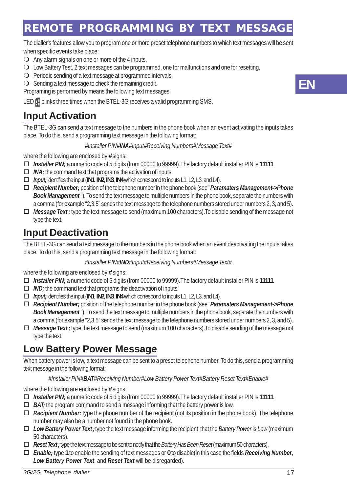# **REMOTE PROGRAMMING BY TEXT MESSAGE**

The dialler's features allow you to program one or more preset telephone numbers to which text messages will be sent when specific events take place:

- $\bigcirc$  Any alarm signals on one or more of the 4 inputs.
- Low Battery Test. 2 text messages can be programmed, one for malfunctions and one for resetting.
- $\bigcirc$  Periodic sending of a text message at programmed intervals.
- $\bigcirc$  Sending a text message to check the remaining credit.

Programing is performed by means the following text messages.

LED **H** blinks three times when the BTEL-3G receives a valid programming SMS.

### **Input Activation**

The BTEL-3G can send a text message to the numbers in the phone book when an event activating the inputs takes place. To do this, send a programming text message in the following format:

#### *#Installer PIN#INA#Input#Receiving Numbers#Message Text#*

where the following are enclosed by **#** signs:

- *Installer PIN;* a numeric code of 5 digits (from 00000 to 99999).The factory default installer PIN is **11111**.
- *INA;* the command text that programs the activation of inputs.
- *Input;* identifies the input (**IN1**, **IN2**, **IN3**, **IN4** which correspond to inputs L1, L2, L3, and L4).
- *Recipient Number;* position of the telephone number in the phone book (see "*Paramaters Management->Phone Book Management* "). To send the text message to multiple numbers in the phone book, separate the numbers with a comma (for example "2,3,5" sends the text message to the telephone numbers stored under numbers 2, 3, and 5).
- *Message Text ;* type the text message to send (maximum 100 characters).To disable sending of the message not type the text.

### **Input Deactivation**

The BTEL-3G can send a text message to the numbers in the phone book when an event deactivating the inputs takes place. To do this, send a programming text message in the following format:

#### *#Installer PIN#IND#Input#Receiving Numbers#Message Text#*

where the following are enclosed by **#** signs:

- *Installer PIN;* a numeric code of 5 digits (from 00000 to 99999).The factory default installer PIN is **11111**.
- *IND;* the command text that programs the deactivation of inputs.
- *Input;* identifies the input (**IN1**, **IN2**, **IN3**, **IN4** which correspond to inputs L1, L2, L3, and L4).
- *Recipient Number;* position of the telephone number in the phone book (see "*Paramaters Management->Phone Book Management* "). To send the text message to multiple numbers in the phone book, separate the numbers with a comma (for example "2,3,5" sends the text message to the telephone numbers stored under numbers 2, 3, and 5).
- *Message Text ;* type the text message to send (maximum 100 characters).To disable sending of the message not type the text.

### **Low Battery Power Message**

When battery power is low, a text message can be sent to a preset telephone number. To do this, send a programming text message in the following format:

#### *#Installer PIN#BAT#Receiving Number#Low Battery Power Text#Battery Reset Text#Enable#*

where the following are enclosed by **#** signs:

- *Installer PIN;* a numeric code of 5 digits (from 00000 to 99999).The factory default installer PIN is **11111**.
- *BAT;* the program command to send a message informing that the battery power is low.
- *Recipient Number:* type the phone number of the recipient (not its position in the phone book). The telephone number may also be a number not found in the phone book.
- *Low Battery Power Text ;* type the text message informing the recipient that the *Battery Power* is *Low* (maximum 50 characters).
- *Reset Text ;* type the text message to be sent to notify that the *Battery Has Been Reset* (maximum 50 characters).
- *Enable;* type **1** to enable the sending of text messages or **0** to disable(in this case the fields *Receiving Number*, *Low Battery Power Text*, and *Reset Text* will be disregarded).

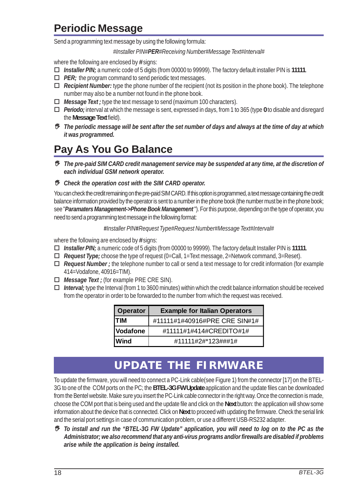# **Periodic Message**

Send a programming text message by using the following formula:

#### *#Installer PIN#PER#Receiving Number#Message Text#Interval#*

where the following are enclosed by **#** signs:

- *Installer PIN;* a numeric code of 5 digits (from 00000 to 99999). The factory default installer PIN is **11111**.
- *PER*; the program command to send periodic text messages.
- *Recipient Number:* type the phone number of the recipient (not its position in the phone book). The telephone number may also be a number not found in the phone book.
- *Message Text ;* type the text message to send (maximum 100 characters).
- *Periodo;* interval at which the message is sent, expressed in days, from 1 to 365 (type **0** to disable and disregard the **Message Text** field).
- *The periodic message will be sent after the set number of days and always at the time of day at which it was programmed.*

# **Pay As You Go Balance**

- *The pre-paid SIM CARD credit management service may be suspended at any time, at the discretion of each individual GSM network operator.*
- *Check the operation cost with the SIM CARD operator.*

You can check the credit remaining on the pre-paid SIM CARD. If this option is programmed, a text message containing the credit balance information provided by the operator is sent to a number in the phone book (the number must be in the phone book; see "*Paramaters Management->Phone Book Management* "). For this purpose, depending on the type of operator, you need to send a programming text message in the following format:

#### *#Installer PIN#Request Type#Request Number#Message Text#Interval#*

where the following are enclosed by **#** signs:

- *Installer PIN;* a numeric code of 5 digits (from 00000 to 99999). The factory default Installer PIN is **11111**.
- *Request Type;* choose the type of request (0=Call, 1=Text message, 2=Network command, 3=Reset).
- *Request Number ;* the telephone number to call or send a text message to for credit information (for example 414=Vodafone, 40916=TIM).
- *Message Text ;* (for example PRE CRE SIN).
- *Interval;* type the Interval (from 1 to 3600 minutes) within which the credit balance information should be received from the operator in order to be forwarded to the number from which the request was received.

| Operator        | <b>Example for Italian Operators</b> |
|-----------------|--------------------------------------|
| ITIM            | #11111#1#40916#PRE CRE SIN#1#        |
| <b>Vodafone</b> | #11111#1#414#CREDITO#1#              |
| l Wind          | #11111#2#*123###1#                   |

# **UPDATE THE FIRMWARE**

To update the firmware, you will need to connect a PC-Link cable(see Figure 1) from the connector [17] on the BTEL-3G to one of the COM ports on the PC; the **BTEL-3G FW Update** application and the update files can be downloaded from the Bentel website. Make sure you insert the PC-Link cable connector in the right way. Once the connection is made, choose the COM port that is being used and the update file and click on the **Next** button: the application will show some information about the device that is connected. Click on **Next** to proceed with updating the firmware. Check the serial link and the serial port settings in case of communication problem, or use a different USB-RS232 adapter.

 *To install and run the "BTEL-3G FW Update" application, you will need to log on to the PC as the Administrator; we also recommend that any anti-virus programs and/or firewalls are disabled if problems arise while the application is being installed.*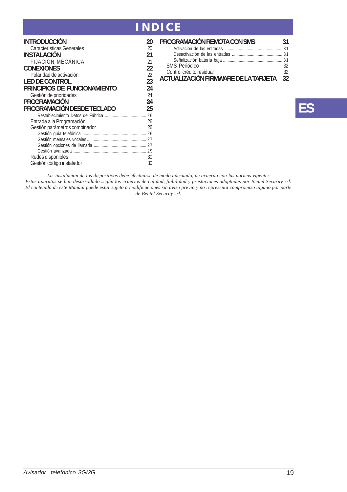# **INDICE**

| INTRODUCCIÓN                  | 20 |
|-------------------------------|----|
| Características Generales     | 20 |
| INSTAI ACIÓN                  | 21 |
| <b>FLIACIÓN MECÁNICA</b>      | 21 |
| <b>CONFXIONES</b>             | 22 |
| Polaridad de activación       | 22 |
| <b>LED DE CONTROL</b>         | 23 |
| PRINCIPIOS DE FUNCIONAMIENTO  | 24 |
| Gestión de prioridades        | 24 |
| PROGRAMACIÓN                  | 24 |
| PROGRAMACIÓN DESDE TECLADO    | 25 |
|                               |    |
| Entrada a la Programación     | 26 |
| Gestión parámetros combinador | 26 |
|                               | 26 |
|                               |    |
|                               | 27 |
|                               |    |
| Redes disponibles             | 30 |
| Gestión código instalador     | 30 |
|                               |    |

| PROGRAMACIÓN REMOTA CON SMS             | 31 |
|-----------------------------------------|----|
|                                         |    |
|                                         |    |
|                                         |    |
| SMS Periódico                           | 32 |
| Control crédito residual                | 32 |
| ACTUALIZACIÓN FIRMWARE DE LA TARJETA 32 |    |

# **ES**

 *La 'instalacion de los dispositivos debe efectuarse de modo adecuado, de acuerdo con las normas vigentes. Estos aparatos se han desarrollado según los criterios de calidad, fiabilidad y prestaciones adoptadas por Bentel Security srl. El contenido de este Manual puede estar sujeto a modificaciones sin aviso previo y no representa compromiso alguno por parte de Bentel Security srl.*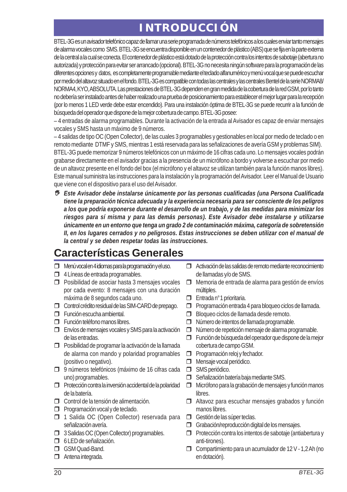# **INTRODUCCIÓN**

BTEL-3G es un avisador telefónico capaz de llamar una serie programada de números telefónicos a los cuales enviar tanto mensajes de alarma vocales como SMS. BTEL-3G se encuentra disponible en un contenedor de plástico (ABS) que se fija en la parte externa de la central a la cual se conecta. El contenedor de plástico está dotado de la protección contra los intentos de sabotaje (abertura no autorizada) y protección para evitar ser arrancado (opcional). BTEL-3G no necesita ningún software para la programación de las diferentes opciones y datos, es completamente programable mediante el teclado alfanumérico y menú vocal que se puede escuchar por medio del altavoz situado en el fondo. BTEL-3G es compatible con todas las centrales y las centrales Bentel de la serie NORMA8/ NORMA4, KYO, ABSOLUTA. Las prestaciones de BTEL-3G dependen en gran medida de la cobertura de la red GSM, por lo tanto no debería ser instalado antes de haber realizado una prueba de posicionamiento para establecer el mejor lugar para la recepción (por lo menos 1 LED verde debe estar encendido). Para una instalación óptima de BTEL-3G se puede recurrir a la función de búsqueda del operador que dispone de la mejor cobertura de campo. BTEL-3G posee:

– 4 entradas de alarma programables. Durante la activación de la entrada al Avisador es capaz de enviar mensajes vocales y SMS hasta un máximo de 9 números.

– 4 salidas de tipo OC (Open Collector), de las cuales 3 programables y gestionables en local por medio de teclado o en remoto mediante DTMF y SMS, mientras 1 está reservada para las señalizaciones de avería GSM y problemas SIM). BTEL-3G puede memorizar 9 números telefónicos con un máximo de 16 cifras cada uno. Lo mensajes vocales podrán grabarse directamente en el avisador gracias a la presencia de un micrófono a bordo y volverse a escuchar por medio de un altavoz presente en el fondo del box (el micrófono y el altavoz se utilizan también para la función manos libres). Este manual suministra las instrucciones para la instalación y la programación del Avisador. Leer el Manual de Usuario que viene con el dispositivo para el uso del Avisador.

 *Este Avisador debe instalarse únicamente por las personas cualificadas (una Persona Cualificada tiene la preparación técnica adecuada y la experiencia necesaria para ser consciente de los peligros a los que podría exponerse durante el desarrollo de un trabajo, y de las medidas para minimizar los riesgos para sí misma y para las demás personas). Este Avisador debe instalarse y utilizarse únicamente en un entorno que tenga un grado 2 de contaminación máxima, categoría de sobretensión II, en los lugares cerrados y no peligrosos. Estas instrucciones se deben utilizar con el manual de la central y se deben respetar todas las instrucciones.*

# **Características Generales**

- Menú vocal en 4 idiomas para la programación y el uso.
- $\Box$  4 Líneas de entrada programables.
- **Posibilidad de asociar hasta 3 mensajes vocales** por cada evento: 8 mensajes con una duración máxima de 8 segundos cada uno.
- Control crédito residual de las SIM-CARD de prepago.
- Función escucha ambiental.
- **Función teléfono manos libres.**
- Envíos de mensajes vocales y SMS para la activación de las entradas.
- **Posibilidad de programar la activación de la llamada** de alarma con mando y polaridad programables (positivo o negativo).
- 9 números telefónicos (máximo de 16 cifras cada uno) programables.
- **Protección contra la inversión accidental de la polaridad** de la batería.
- Control de la tensión de alimentación.
- **Programación vocal y de teclado.**
- 1 Salida OC (Open Collector) reservada para señalización avería.
- **3 Salidas OC (Open Collector) programables.**
- $\Box$  6 LED de señalización.
- GSM Quad-Band.
- Antena integrada.
- Activación de las salidas de remoto mediante reconocimiento de llamadas y/o de SMS.
- $\Box$  Memoria de entrada de alarma para gestión de envíos múltiples.
- □ Entrada n°1 prioritaria.
- **Programación entrada 4 para bloqueo ciclos de llamada.**
- Bloqueo ciclos de llamada desde remoto.
- □ Número de intentos de llamada programable.
- $\Box$  Número de repetición mensaje de alarma programable.
- Función de búsqueda del operador que dispone de la mejor cobertura de campo GSM.
- **Programación reloj y fechador.**
- Mensaje vocal periódico.
- SMS periódico.
- Señalización batería baja mediante SMS.
- Micrófono para la grabación de mensajes y función manos libres.
- $\Box$  Altavoz para escuchar mensajes grabados y función manos libres.
- Gestión de las súper teclas.
- Grabación/reproducción digital de los mensajes.
- $\Box$  Protección contra los intentos de sabotaje (antiabertura y anti-tirones).
- Compartimiento para un acumulador de 12 V 1,2 Ah (no en dotación).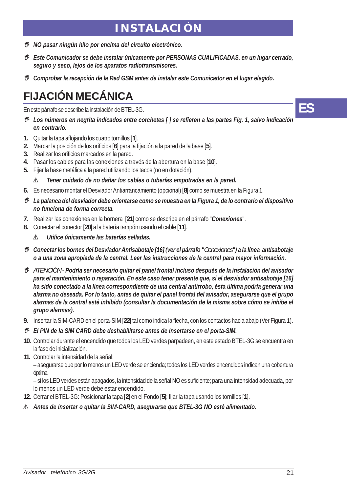# **INSTALACIÓN**

- *NO pasar ningún hilo por encima del circuito electrónico.*
- *Este Comunicador se debe instalar únicamente por PERSONAS CUALIFICADAS, en un lugar cerrado, seguro y seco, lejos de los aparatos radiotransmisores.*
- *Comprobar la recepción de la Red GSM antes de instalar este Comunicador en el lugar elegido.*

# **FIJACIÓN MECÁNICA**

En este párrafo se describe la instalación de BTEL-3G.

- *Los números en negrita indicados entre corchetes [ ] se refieren a las partes Fig. 1, salvo indicación en contrario.*
- **1.** Quitar la tapa aflojando los cuatro tornillos [**1**].
- **2.** Marcar la posición de los orificios [**6**] para la fijación a la pared de la base [**5**].
- **3.** Realizar los orificios marcados en la pared.
- **4.** Pasar los cables para las conexiones a través de la abertura en la base [**10**].
- **5.** Fijar la base metálica a la pared utilizando los tacos (no en dotación).

#### ! *Tener cuidado de no dañar los cables o tuberías empotradas en la pared.*

- **6.** Es necesario montar el Desviador Antiarrancamiento (opcional) [**8**] como se muestra en la Figura 1.
- *La palanca del desviador debe orientarse como se muestra en la Figura 1, de lo contrario el dispositivo no funciona de forma correcta.*
- **7.** Realizar las conexiones en la bornera [**21**] como se describe en el párrafo "*Conexiones*".
- **8.** Conectar el conector [**20**] a la batería tampón usando el cable [**11**].

! *Utilice únicamente las baterías selladas.*

- *Conectar los bornes del Desviador Antisabotaje [16] (ver el párrafo "Conexiones") a la línea antisabotaje o a una zona apropiada de la central. Leer las instrucciones de la central para mayor información.*
- *ATENCIÓN Podría ser necesario quitar el panel frontal incluso después de la instalación del avisador para el mantenimiento o reparación. En este caso tener presente que, si el desviador antisabotaje [16] ha sido conectado a la línea correspondiente de una central antirrobo, ésta última podría generar una alarma no deseada. Por lo tanto, antes de quitar el panel frontal del avisador, asegurarse que el grupo alarmas de la central esté inhibido (consultar la documentación de la misma sobre cómo se inhibe el grupo alarmas).*
- **9.** Insertar la SIM-CARD en el porta-SIM [**22**] tal como indica la flecha, con los contactos hacia abajo (Ver Figura 1).
- *El PIN de la SIM CARD debe deshabilitarse antes de insertarse en el porta-SIM.*
- **10.** Controlar durante el encendido que todos los LED verdes parpadeen, en este estado BTEL-3G se encuentra en la fase de inicialización.
- **11.** Controlar la intensidad de la señal:

– asegurarse que por lo menos un LED verde se encienda; todos los LED verdes encendidos indican una cobertura óptima.

– si los LED verdes están apagados, la intensidad de la señal NO es suficiente; para una intensidad adecuada, por lo menos un LED verde debe estar encendido.

- **12.** Cerrar el BTEL-3G: Posicionar la tapa [**2**] en el Fondo [**5**]; fijar la tapa usando los tornillos [**1**].
- ! *Antes de insertar o quitar la SIM-CARD, asegurarse que BTEL-3G NO esté alimentado.*

**ES**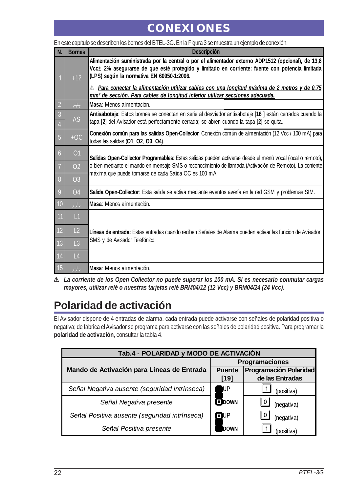# **CONEXIONES**

|                     | En este capítulo se describen los bornes del BTEL-3G. En la Figura 3 se muestra un ejemplo de conexión. |                                                                                                                                                                                                                                                  |  |  |  |
|---------------------|---------------------------------------------------------------------------------------------------------|--------------------------------------------------------------------------------------------------------------------------------------------------------------------------------------------------------------------------------------------------|--|--|--|
| N.                  | <b>Bornes</b>                                                                                           | <b>Descripción</b>                                                                                                                                                                                                                               |  |  |  |
|                     | $+12$                                                                                                   | Alimentación suministrada por la central o por el alimentador externo ADP1512 (opcional), de 13,8<br>Vcc± 2% asequrarse de que esté protegido y limitado en corriente: fuente con potencia limitada<br>(LPS) según la normativa EN 60950-1:2006. |  |  |  |
|                     |                                                                                                         | $\mathbb{\Lambda}$ Para conectar la alimentación utilizar cables con una longitud máxima de 2 metros y de 0,75<br>mm <sup>2</sup> de sección. Para cables de longitud inferior utilizar secciones adecuada.                                      |  |  |  |
| $\overline{2}$      | $\overline{H}$                                                                                          | Masa: Menos alimentación.                                                                                                                                                                                                                        |  |  |  |
| $\overline{3}$<br>4 | <b>AS</b>                                                                                               | Antisabotaje: Estos bornes se conectan en serie al desviador antisabotaje [16 ] están cerrados cuando la<br>tapa [2] del Avisador está perfectamente cerrada; se abren cuando la tapa [2] se quita.                                              |  |  |  |
| $\overline{5}$      | $+OC$                                                                                                   | Conexión común para las salidas Open-Collector: Conexión común de alimentación (12 Vcc / 100 mA) para<br>todas las salidas (01, 02, 03, 04).                                                                                                     |  |  |  |
| $\overline{6}$      | O <sub>1</sub>                                                                                          | Salidas Open-Collector Programables: Estas salidas pueden activarse desde el menú vocal (local o remoto),                                                                                                                                        |  |  |  |
| 7                   | 02                                                                                                      | o bien mediante el mando en mensaje SMS o reconocimiento de llamada (Activación de Remoto). La corriente<br>máxima que puede tomarse de cada Salida OC es 100 mA.                                                                                |  |  |  |
| 8                   | O <sub>3</sub>                                                                                          |                                                                                                                                                                                                                                                  |  |  |  |
| 9                   | <b>O4</b>                                                                                               | Salida Open-Collector: Esta salida se activa mediante eventos avería en la red GSM y problemas SIM.                                                                                                                                              |  |  |  |
| 10                  | $\overline{r}$                                                                                          | Masa: Menos alimentación.                                                                                                                                                                                                                        |  |  |  |
| 11                  | L1                                                                                                      |                                                                                                                                                                                                                                                  |  |  |  |
| 12                  | L2                                                                                                      | Líneas de entrada: Estas entradas cuando reciben Señales de Alarma pueden activar las funcion de Avisador                                                                                                                                        |  |  |  |
| 13                  | L3                                                                                                      | SMS y de Avisador Telefónico.                                                                                                                                                                                                                    |  |  |  |
| 14                  | L4                                                                                                      |                                                                                                                                                                                                                                                  |  |  |  |
| 15                  | $\overline{H}$                                                                                          | Masa: Menos alimentación.                                                                                                                                                                                                                        |  |  |  |

! *La corriente de los Open Collector no puede superar los 100 mA. Si es necesario conmutar cargas mayores, utilizar relé o nuestras tarjetas relé BRM04/12 (12 Vcc) y BRM04/24 (24 Vcc).*

# **Polaridad de activación**

El Avisador dispone de 4 entradas de alarma, cada entrada puede activarse con señales de polaridad positiva o negativa; de fábrica el Avisador se programa para activarse con las señales de polaridad positiva. Para programar la **polaridad de activación**, consultar la tabla 4.

| Tab.4 - POLARIDAD y MODO DE ACTIVACIÓN        |                       |                                           |  |  |
|-----------------------------------------------|-----------------------|-------------------------------------------|--|--|
|                                               | <b>Programaciones</b> |                                           |  |  |
| Mando de Activación para Líneas de Entrada    | <b>Puente</b><br>[19] | Programación Polaridad<br>de las Entradas |  |  |
| Señal Negativa ausente (seguridad intrínseca) | IJР                   | (positiva)                                |  |  |
| Señal Negativa presente                       | <b>ODOWN</b>          | (negativa)                                |  |  |
| Señal Positiva ausente (seguridad intrínseca) | $\blacksquare$        | (negativa)                                |  |  |
| Señal Positiva presente                       | DOWN                  | (positiva)                                |  |  |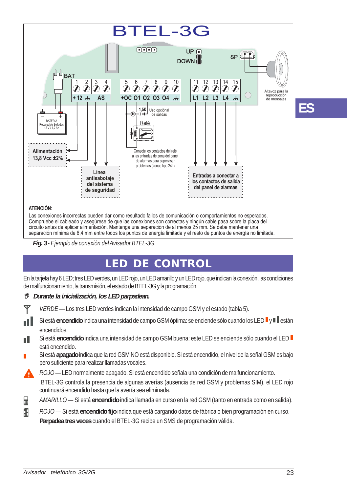

*Fig. 3 - Ejemplo de conexión del Avisador BTEL-3G.*

# **LED DE CONTROL**

En la tarjeta hay 6 LED; tres LED verdes, un LED rojo, un LED amarillo y un LED rojo, que indican la conexión, las condiciones de malfuncionamiento, la transmisión, el estado de BTEL-3G y la programación.

#### *Durante la inicialización, los LED parpadean.*

| Y |  | VERDE - Los tres LED verdes indican la intensidad de campo GSM y el estado (tabla 5). |  |  |  |
|---|--|---------------------------------------------------------------------------------------|--|--|--|
|   |  |                                                                                       |  |  |  |

- Si está encendido indica una intensidad de campo GSM óptima: se enciende sólo cuando los LED <sup>y</sup> y algebra пH encendidos.
- Si está *encendido* indica una intensidad de campo GSM buena: este LED se enciende sólo cuando el LED n I está encendido.
- Si está **apagado** indica que la red GSM NO está disponible. Si está encendido, el nivel de la señal GSM es bajo pero suficiente para realizar llamadas vocales.

*ROJO —* LED normalmente apagado. Si está encendido señala una condición de malfuncionamiento.

 BTEL-3G controla la presencia de algunas averías (ausencia de red GSM y problemas SIM), el LED rojo continuará encendido hasta que la avería sea eliminada.

- *AMARILLO —* Si está **encendido** indica llamada en curso en la red GSM (tanto en entrada como en salida). 目
- Æ *ROJO —* Si está **encendido fijo** indica que está cargando datos de fábrica o bien programación en curso. **Parpadea tres veces** cuando el BTEL-3G recibe un SMS de programación válida.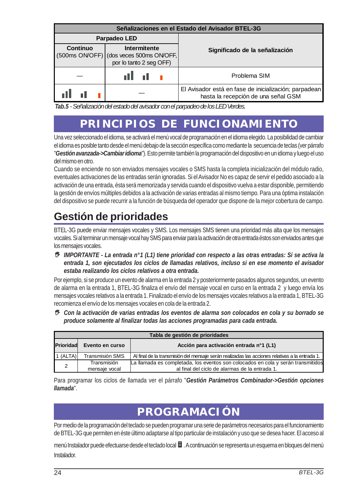| Señalizaciones en el Estado del Avisador BTEL-3G                                               |              |                                                                                              |  |  |  |
|------------------------------------------------------------------------------------------------|--------------|----------------------------------------------------------------------------------------------|--|--|--|
|                                                                                                | Parpadeo LED |                                                                                              |  |  |  |
| Continuo<br>Intermitente<br>(500ms ON/OFF) (dos veces 500ms ON/OFF,<br>por lo tanto 2 seg OFF) |              | Significado de la señalización                                                               |  |  |  |
|                                                                                                |              | Problema SIM                                                                                 |  |  |  |
|                                                                                                |              | El Avisador está en fase de inicialización; parpadean<br>hasta la recepción de una señal GSM |  |  |  |

*Tab.5 - Señalización del estado del avisador con el parpadeo de los LED Verdes.*

# **PRINCIPIOS DE FUNCIONAMIENTO**

Una vez seleccionado el idioma, se activará el menú vocal de programación en el idioma elegido. La posibilidad de cambiar el idioma es posible tanto desde el menú debajo de la sección específica como mediante la secuencia de teclas (ver párrafo "*Gestión avanzada->Cambiar idioma*"). Esto permite también la programación del dispositivo en un idioma y luego el uso del mismo en otro.

Cuando se enciende no son enviados mensajes vocales o SMS hasta la completa inicialización del módulo radio, eventuales activaciones de las entradas serán ignoradas. Si el Avisador No es capaz de servir el pedido asociado a la activación de una entrada, ésta será memorizada y servida cuando el dispositivo vuelva a estar disponible, permitiendo la gestión de envíos múltiples debidos a la activación de varias entradas al mismo tiempo. Para una óptima instalación del dispositivo se puede recurrir a la función de búsqueda del operador que dispone de la mejor cobertura de campo.

# **Gestión de prioridades**

BTEL-3G puede enviar mensajes vocales y SMS. Los mensajes SMS tienen una prioridad más alta que los mensajes vocales. Si al terminar un mensaje vocal hay SMS para enviar para la activación de otra entrada éstos son enviados antes que los mensajes vocales.

 *IMPORTANTE - La entrada n°1 (L1) tiene prioridad con respecto a las otras entradas: Si se activa la entrada 1, son ejecutados los ciclos de llamadas relativos, incluso si en ese momento el avisador estaba realizando los ciclos relativos a otra entrada.*

Por ejemplo, si se produce un evento de alarma en la entrada 2 y posteriormente pasados algunos segundos, un evento de alarma en la entrada 1, BTEL-3G finaliza el envío del mensaje vocal en curso en la entrada 2 y luego envía los mensajes vocales relativos a la entrada 1. Finalizado el envío de los mensajes vocales relativos a la entrada 1, BTEL-3G recomienza el envío de los mensajes vocales en cola de la entrada 2.

 *Con la activación de varias entradas los eventos de alarma son colocados en cola y su borrado se produce solamente al finalizar todas las acciones programadas para cada entrada.*

| Tabla de gestión de prioridades |                              |                                                                                                                                    |  |  |
|---------------------------------|------------------------------|------------------------------------------------------------------------------------------------------------------------------------|--|--|
| Prioridad                       | Evento en curso              | Acción para activación entrada nº1 (L1)                                                                                            |  |  |
| $1$ (ALTA)                      | Transmisión SMS              | Al final de la transmisión del mensaje serán realizadas las acciones relativas a la entrada 1.                                     |  |  |
| 2                               | Transmisión<br>mensaie vocal | La llamada es completada, los eventos son colocados en cola y serán transmitidos<br>al final del ciclo de alarmas de la entrada 1. |  |  |

Para programar los ciclos de llamada ver el párrafo "*Gestión Parámetros Combinador->Gestión opciones llamada*".

# **PROGRAMACIÓN**

Por medio de la programación del teclado se pueden programar una serie de parámetros necesarios para el funcionamiento de BTEL-3G que permiten en éste último adaptarse al tipo particular de instalación y uso que se desea hacer. El acceso al

menú Instalador puede efectuarse desde el teclado local ■ . A continuación se representa un esquema en bloques del menú Instalador.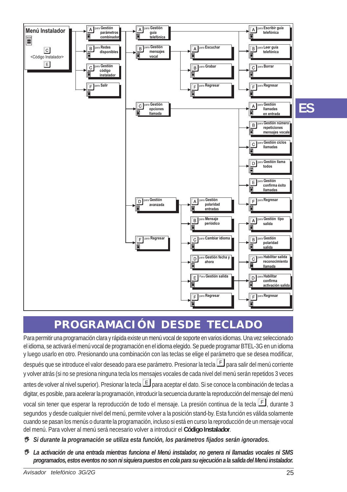

# **PROGRAMACIÓN DESDE TECLADO**

Para permitir una programación clara y rápida existe un menú vocal de soporte en varios idiomas. Una vez seleccionado el idioma, se activará el menú vocal de programación en el idioma elegido. Se puede programar BTEL-3G en un idioma y luego usarlo en otro. Presionando una combinación con las teclas se elige el parámetro que se desea modificar, después que se introduce el valor deseado para ese parámetro. Presionar la tecla **F** para salir del menú corriente y volver atrás (si no se presiona ninguna tecla los mensajes vocales de cada nivel del menú serán repetidos 3 veces antes de volver al nivel superior). Presionar la tecla  $\Box$  para aceptar el dato. Si se conoce la combinación de teclas a digitar, es posible, para acelerar la programación, introducir la secuencia durante la reproducción del mensaje del menú vocal sin tener que esperar la reproducción de todo el mensaje. La presión continua de la tecla  $E$ , durante 3 segundos y desde cualquier nivel del menú, permite volver a la posición stand-by. Esta función es válida solamente cuando se pasan los menús o durante la programación, incluso si está en curso la reproducción de un mensaje vocal del menú. Para volver al menú será necesario volver a introducir el **Código Instalador**.

- *Si durante la programación se utiliza esta función, los parámetros fijados serán ignorados.*
- *La activación de una entrada mientras funciona el Menú instalador, no genera ni llamadas vocales ni SMS programados, estos eventos no son ni siquiera puestos en cola para su ejecución a la salida del Menú instalador.*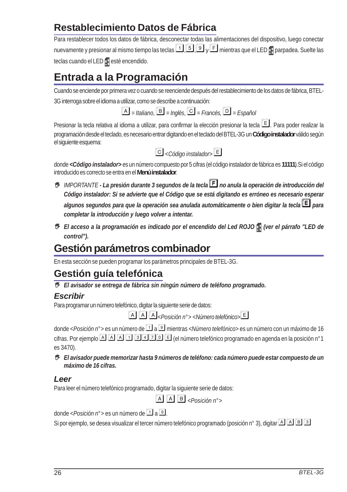### **Restablecimiento Datos de Fábrica**

Para restablecer todos los datos de fábrica, desconectar todas las alimentaciones del dispositivo, luego conectar nuevamente y presionar al mismo tiempo las teclas  $\Box$   $\Box$   $\Box$  y  $\Box$  mientras que el LED  $\Box$  parpadea. Suelte las teclas cuando el LED **e** esté encendido.

# **Entrada a la Programación**

Cuando se enciende por primera vez o cuando se reenciende después del restablecimiento de los datos de fábrica, BTEL-3G interroga sobre el idioma a utilizar, como se describe a continuación:

 $\boxed{A}$  = *Italiano*,  $\boxed{B}$  = *Inglés*,  $\boxed{C}$  = *Francés*,  $\boxed{D}$  = *Español* 

Presionar la tecla relativa al idioma a utilizar, para confirmar la elección presionar la tecla  $E$ . Para poder realizar la programación desde el teclado, es necesario entrar digitando en el teclado del BTEL-3G un **Código instalador** válido según el siguiente esquema:

$$
\boxed{\text{C}} < \text{Código instalador} \boxed{\text{E}}
$$

donde *<Código instalador>* es un número compuesto por 5 cifras (el código instalador de fábrica es **11111**).Si el código introducido es correcto se entra en el **Menú instalador**.

- *IMPORTANTE La presión durante 3 segundos de la tecla no anula la operación de introducción del Código instalador: Si se advierte que el Código que se está digitando es erróneo es necesario esperar algunos segundos para que la operación sea anulada automáticamente o bien digitar la tecla para completar la introducción y luego volver a intentar.*
- *El acceso a la programación es indicado por el encendido del Led ROJO (ver el párrafo "LED de control").*

# **Gestión parámetros combinador**

En esta sección se pueden programar los parámetros principales de BTEL-3G.

# **Gestión guía telefónica**

*El avisador se entrega de fábrica sin ningún número de teléfono programado.*

#### *Escribir*

Para programar un número telefónico, digitar la siguiente serie de datos:

*<Posición n°> <Número telefónico>*

donde *< Posición n*°> es un número de **11** a **II** mientras <*Número telefónico*> es un número con un máximo de 16 cifras. Por ejemplo **A A E G E G E G E G C** el número telefónico programado en agenda en la posición n°1 es 3470).

 *El avisador puede memorizar hasta 9 números de teléfono: cada número puede estar compuesto de un máximo de 16 cifras.*

#### *Leer*

Para leer el número telefónico programado, digitar la siguiente serie de datos:

*<Posición n°>*

donde <*Posición n*<sup>2</sup> es un número de **1** a 9.

Si por ejemplo, se desea visualizar el tercer número telefónico programado (posición n° 3), digitar  $\boxed{3}$   $\boxed{3}$   $\boxed{3}$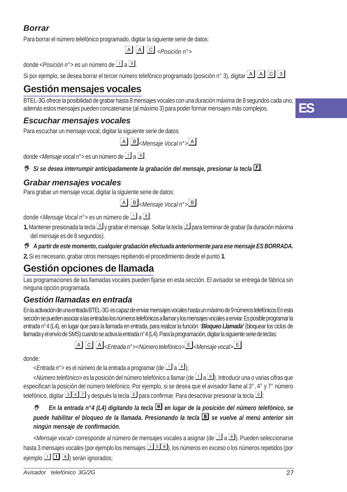### *Borrar*

Para borrar el número telefónico programado, digitar la siguiente serie de datos:

 $[A][A][C]$ <sub><Posición n°></sub>

donde <*Posición n*<sup>2</sup> es un número de **1** a 9

Si por ejemplo, se desea borrar el tercer número telefónico programado (posición n° 3), digitar **A A G 3** 

### **Gestión mensajes vocales**

BTEL-3G ofrece la posibilidad de grabar hasta 8 mensajes vocales con una duración máxima de 8 segundos cada uno, además estos mensajes pueden concatenarse (al máximo 3) para poder formar mensajes más complejos.

### *Escuchar mensajes vocales*

Para escuchar un mensaje vocal, digitar la siguiente serie de datos:

*<Mensaje Vocal n°>*

donde <*Mensaje vocal n*<sup>°</sup>> es un número de 1 a 8.

*B* Si se desea interrumpir anticipadamente la grabación del mensaje, presionar la tecla *E.* 

### *Grabar mensajes vocales*

Para grabar un mensaje vocal, digitar la siguiente serie de datos:

*<Mensaje Vocal n°>*

donde <*Mensaje Vocal n*<sup>°</sup>> es un número de **1** a **8** 

**1.** Mantener presionada la tecla  $\Box$  y grabar el mensaje. Soltar la tecla  $\Box$  para terminar de grabar (la duración máxima del mensaje es de 8 segundos).

#### *A partir de este momento, cualquier grabación efectuada anteriormente para ese mensaje ES BORRADA.*

**2.** Si es necesario, grabar otros mensajes repitiendo el procedimiento desde el punto **1**.

### **Gestión opciones de llamada**

Las programaciones de las llamadas vocales pueden fijarse en esta sección. El avisador se entrega de fábrica sin ninguna opción programada.

### *Gestión llamadas en entrada*

En la activación de una entrada BTEL-3G es capaz de enviar mensajes vocales hasta un máximo de 9 números telefónicos En esta sección se pueden asociar a las entradas los números telefónicos a llamar y los mensajes vocales a enviar. Es posible programar la entrada n°4 (L4), en lugar que para la llamada en entrada, para realizar la función '*Bloqueo Llamada'* (bloquear los ciclos de llamada y el envío de SMS) cuando se activa la entrada n°4 (L4). Para la programación, digitar la siguiente serie de teclas:

*<Entrada n°><Número telefónico><Mensaje vocal>*

donde:

<*Entrada n*<sup>°</sup>> es el número de la entrada a programar (de <sup>1</sup> a <sup>4</sup>);

<*Número telefónico*> es la posición del número telefónico a llamar (de **1 a 9)**. Introducir una o varias cifras que especifican la posición del número telefónico. Por ejemplo, si se desea que el avisador llame al 3°, 4° y 7° número telefónico, digitar **347** y después la tecla **E** para confirmar. Para desactivar presionar la tecla <sup>1</sup>;

#### *B* En la entrada n°4 (L4) digitando la tecla **B** en lugar de la posición del número telefónico, se *puede habilitar el bloqueo de la llamada. Presionando la tecla se vuelve al menú anterior sin ningún mensaje de confirmación.*

<*Mensaje vocal>* corresponde al número de mensajes vocales a asignar (de **[1]** a **[8]**). Pueden seleccionarse hasta 3 mensajes vocales (por ejemplo los mensajes  $\Box$  5  $\Box$ ), los números en exceso o los números repetidos (por ejemplo  $\boxed{1}$   $\boxed{3}$  serán ignorados;

**ES**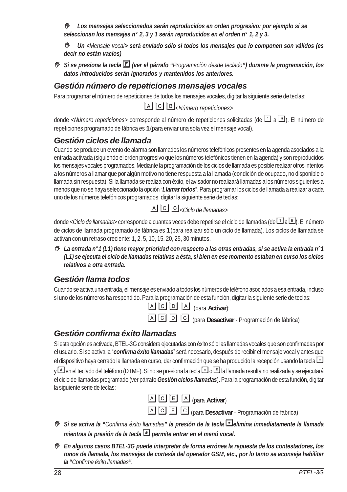*Los mensajes seleccionados serán reproducidos en orden progresivo: por ejemplo si se seleccionan los mensajes n° 2, 3 y 1 serán reproducidos en el orden n° 1, 2 y 3.*

 *Un <Mensaje vocal> será enviado sólo si todos los mensajes que lo componen son válidos (es decir no están vacíos)*

 *Si se presiona la tecla (ver el párrafo "Programación desde teclado") durante la programación, los datos introducidos serán ignorados y mantenidos los anteriores.*

### *Gestión número de repeticiones mensajes vocales*

Para programar el número de repeticiones de todos los mensajes vocales, digitar la siguiente serie de teclas:

*<Número repeticiones>*

donde *<Número repeticiones*> corresponde al número de repeticiones solicitadas (de **1** a **9**). El número de repeticiones programado de fábrica es **1** (para enviar una sola vez el mensaje vocal).

### *Gestión ciclos de llamada*

Cuando se produce un evento de alarma son llamados los números telefónicos presentes en la agenda asociados a la entrada activada (siguiendo el orden progresivo que los números telefónicos tienen en la agenda) y son reproducidos los mensajes vocales programados. Mediante la programación de los ciclos de llamada es posible realizar otros intentos a los números a llamar que por algún motivo no tiene respuesta a la llamada (condición de ocupado, no disponible o llamada sin respuesta). Si la llamada se realiza con éxito, el avisador no realizará llamadas a los números siguientes a menos que no se haya seleccionado la opción "*Llamar todos*". Para programar los ciclos de llamada a realizar a cada uno de los números telefónicos programados, digitar la siguiente serie de teclas:

|  |  | $\boxed{A}$ $\boxed{C}$ $\boxed{C}$ < Ciclo de llamadas> |
|--|--|----------------------------------------------------------|
|  |  |                                                          |

donde < *Ciclo de llamadas*> corresponde a cuantas veces debe repetirse el ciclo de llamadas (de **1** a **9**). El número de ciclos de llamada programado de fábrica es **1** (para realizar sólo un ciclo de llamada). Los ciclos de llamada se activan con un retraso creciente: 1, 2, 5, 10, 15, 20, 25, 30 minutos.

 *La entrada n°1 (L1) tiene mayor prioridad con respecto a las otras entradas, si se activa la entrada n°1 (L1) se ejecuta el ciclo de llamadas relativas a ésta, si bien en ese momento estaban en curso los ciclos relativos a otra entrada.*

### *Gestión llama todos*

Cuando se activa una entrada, el mensaje es enviado a todos los números de teléfono asociados a esa entrada, incluso si uno de los números ha respondido. Para la programación de esta función, digitar la siguiente serie de teclas:

- (para **Activar**);
- (para **Desactivar**  Programación de fábrica)

### *Gestión confirma éxito llamadas*

Si esta opción es activada, BTEL-3G considera ejecutadas con éxito sólo las llamadas vocales que son confirmadas por el usuario. Si se activa la "*confirma éxito llamadas*" será necesario, después de recibir el mensaje vocal y antes que el dispositivo haya cerrado la llamada en curso, dar confirmación que se ha producido la recepción usando la tecla  $\Box$ y **F** en el teclado del teléfono (DTMF). Si no se presiona la tecla **I** o **F** la llamada resulta no realizada y se ejecutará el ciclo de llamadas programado (ver párrafo *Gestión ciclos llamadas*). Para la programación de esta función, digitar la siguiente serie de teclas:



(para **Desactivar** - Programación de fábrica)

- *Si se activa la "Confirma éxito llamadas" la presión de la tecla elimina inmediatamente la llamada mientras la presión de la tecla permite entrar en el menú vocal.*
- *En algunos casos BTEL-3G puede interpretar de forma errónea la repuesta de los contestadores, los tonos de llamada, los mensajes de cortesía del operador GSM, etc., por lo tanto se aconseja habilitar la "Confirma éxito llamadas".*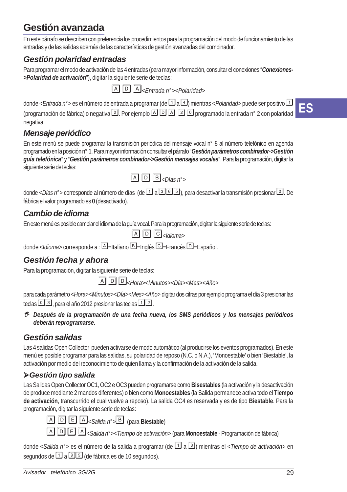### **Gestión avanzada**

En este párrafo se describen con preferencia los procedimientos para la programación del modo de funcionamiento de las entradas y de las salidas además de las características de gestión avanzadas del combinador.

### *Gestión polaridad entradas*

Para programar el modo de activación de las 4 entradas (para mayor información, consultar el conexiones "*Conexiones- >Polaridad de activación*"), digitar la siguiente serie de teclas:

*<Entrada n°><Polaridad>*

donde <*Entrada n*<sup>°</sup>> es el número de entrada a programar (de **1** a 4) mientras <*Polaridad*> puede ser positivo **1** (programación de fábrica) o negativa [0]. Por ejemplo [A] [2] [0] programado la entrada n° 2 con polaridad negativa.

### *Mensaje periódico*

En este menú se puede programar la transmisión periódica del mensaje vocal n° 8 al número telefónico en agenda programado en la posición n° 1. Para mayor información consultar el párrafo "*Gestión parámetros combinador->Gestión guía telefónica*" y "*Gestión parámetros combinador->Gestión mensajes vocales*". Para la programación, digitar la siguiente serie de teclas:



donde <*Días n*<sup>2</sup>> corresponde al número de días (de **1** a **16 b**, para desactivar la transmisión presionar **1**. De fábrica el valor programado es **0** (desactivado).

### *Cambio de idioma*

En este menú es posible cambiar el idioma de la guía vocal. Para la programación, digitar la siguiente serie de teclas:

```
\overline{A}\overline{D}\overline{C}\overline{C}\overline{A}dioma
```
donde <*Idioma*> corresponde a : **A** = Italiano **B** = Inglés **C** = Francés **D** = Español.

### *Gestión fecha y ahora*

Para la programación, digitar la siguiente serie de teclas:

<*Hora*><*Minutos*><*Día*><*Mes*><*Año*<sup>&</sup>gt;

para cada parámetro <*Hora*><*Minutos*><*Día*><*Mes*><*Año*> digitar dos cifras por ejemplo programa el día 3 presionar las teclas  $\boxed{0}$  3, para el año 2012 presionar las teclas  $\boxed{1}$  2.

 *Después de la programación de una fecha nueva, los SMS periódicos y los mensajes periódicos deberán reprogramarse.*

### *Gestión salidas*

Las 4 salidas Open Collector pueden activarse de modo automático (al producirse los eventos programados). En este menú es posible programar para las salidas, su polaridad de reposo (N.C. o N.A.), 'Monoestable' o bien 'Biestable', la activación por medio del reconocimiento de quien llama y la confirmación de la activación de la salida.

### *Gestión tipo salida*

Las Salidas Open Collector OC1, OC2 e OC3 pueden programarse como **Bisestables** (la activación y la desactivación de produce mediante 2 mandos diferentes) o bien como **Monoestables** (la Salida permanece activa todo el **Tiempo de activación**, transcurrido el cual vuelve a reposo). La salida OC4 es reservada y es de tipo **Biestable**. Para la programación, digitar la siguiente serie de teclas:

*<Salida n°>* (para **Biestable**)

*<Salida n°><Tiempo de activación>* (para **Monoestable** - Programación de fábrica)

donde <*Salida n*<sup>°</sup>> es el número de la salida a programar (de **1** a **3**) mientras el <*Tiempo de activación*> en segundos de  $\Box$  a  $\Box$  (de fábrica es de 10 segundos).

**ES**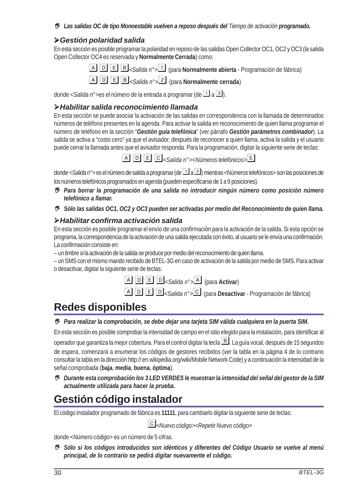#### *Las salidas OC de tipo Monoestable vuelven a reposo después del Tiempo de activación programado.*

#### *Gestión polaridad salida*

En esta sección es posible programar la polaridad en reposo de las salidas Open Collector OC1, OC2 y OC3 (la salida Open Collector OC4 es reservada y **Normalmente Cerrada**) como:

*<Salida n°>* (para **Normalmente abierta** - Programación de fábrica)

*<Salida n°>* (para **Normalmente cerrada**)

donde <*Salida n*°>es el número de la entrada a programar (de **1** a **3**).

#### *Habilitar salida reconocimiento llamada*

En esta sección se puede asociar la activación de las salidas en correspondencia con la llamada de determinados números de teléfono presentes en la agenda. Para activar la salida en reconocimiento de quien llama programar el número de teléfono en la sección "*Gestión guía telefónica*" (ver párrafo *Gestión parámetros combinador*). La salida se activa a "costo cero" ya que el avisador, después de reconocer a quien llama, activa la salida y el usuario puede cerrar la llamada antes que el avisador responda. Para la programación, digitar la siguiente serie de teclas:

*<Salida n°><Números telefónicos>*

donde < Salida n<sup>o</sup> es el número de salida a programar (de **1** a **3**) mientras <Números telefónicos> son las posiciones de los números telefónicos programados en agenda (pueden especificarse de 1 a 9 posiciones).

- *Para borrar la programación de una salida no introducir ningún número como posición número telefónico a llamar.*
- *Sólo las salidas OC1, OC2 y OC3 pueden ser activadas por medio del Reconocimiento de quien llama.*

#### *Habilitar confirma activación salida*

En esta sección es posible programar el envío de una confirmación para la activación de la salida. Si esta opción se programa, la correspondencia de la activación de una salida ejecutada con éxito, al usuario se le envía una confirmación. La confirmación consiste en:

– un timbre si la activación de la salida se produce por medio del reconocimiento de quien llama.

– un SMS con el mismo mando recibido de BTEL-3G en caso de activación de la salida por medio de SMS. Para activar o desactivar, digitar la siguiente serie de teclas:

*<Salida n°>* (para **Activar**)

*<Salida n°>* (para **Desactivar** - Programación de fábrica)

# **Redes disponibles**

#### *Para realizar la comprobación, se debe dejar una tarjeta SIM válida cualquiera en la puerta SIM.*

En esta sección es posible comprobar la intensidad de campo en el sitio elegido para la instalación, para identificar al

operador que garantiza la mejor cobertura. Para el control digitar la tecla  $\mathbb B$ . La guía vocal, después de 15 segundos

de espera, comenzará a enumerar los códigos de gestores recibidos (ver la tabla en la página 4 de lo contrario consultar la tabla en la dirección http:// en.wikipedia.org/wiki/Mobile Network Code) y a continuación la intensidad de la señal comprobada (**baja**, **media**, **buena**, **óptima**).

 *Durante esta comprobación los 3 LED VERDES le muestran la intensidad del señal del gestor de la SIM actualmente utilizada para hacer la prueba.*

### **Gestión código instalador**

El código instalador programado de fábrica es **11111**, para cambiarlo digitar la siguiente serie de teclas:

*<Nuevo código><Repetir Nuevo código>*

donde <*Número código*> es un número de 5 cifras.

 *Sólo si los códigos introducidos son idénticos y diferentes del Código Usuario se vuelve al menú principal, de lo contrario se pedirá digitar nuevamente el código.*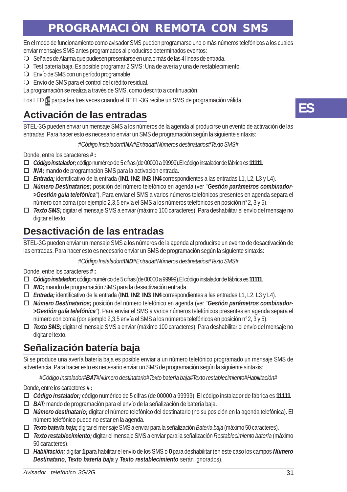# **PROGRAMACIÓN REMOTA CON SMS**

En el modo de funcionamiento como avisador SMS pueden programarse uno o más números telefónicos a los cuales enviar mensajes SMS antes programados al producirse determinados eventos:

- Señales de Alarma que pudiesen presentarse en una o más de las 4 líneas de entrada.
- Test batería baja. Es posible programar 2 SMS: Una de avería y una de restablecimiento.
- Envío de SMS con un período programable
- Envío de SMS para el control del crédito residual.
- La programación se realiza a través de SMS, como descrito a continuación.

Los LED **p** parpadea tres veces cuando el BTEL-3G recibe un SMS de programación válida.

### **Activación de las entradas**

BTEL-3G pueden enviar un mensaje SMS a los números de la agenda al producirse un evento de activación de las entradas. Para hacer esto es necesario enviar un SMS de programación según la siguiente sintaxis:

#### *#Código Instalador#INA#Entrada#Números destinatarios#Texto SMS#*

Donde, entre los caracteres *#* **:**

- *Código instalador;* código numérico de 5 cifras (de 00000 a 99999).El código instalador de fábrica es **11111**.
- *INA;* mando de programación SMS para la activación entrada.
- *Entrada;* identificativo de la entrada (**IN1**, **IN2**, **IN3**, **IN4** correspondientes a las entradas L1, L2, L3 y L4).
- *Número Destinatarios;* posición del número telefónico en agenda (ver "*Gestión parámetros combinador- >Gestión guía telefónica*"). Para enviar el SMS a varios números telefónicos presentes en agenda separa el número con coma (por ejemplo 2,3,5 envía el SMS a los números telefónicos en posición n°2, 3 y 5).
- *Texto SMS;* digitar el mensaje SMS a enviar (máximo 100 caracteres). Para deshabilitar el envío del mensaje no digitar el texto.

### **Desactivación de las entradas**

BTEL-3G pueden enviar un mensaje SMS a los números de la agenda al producirse un evento de desactivación de las entradas. Para hacer esto es necesario enviar un SMS de programación según la siguiente sintaxis:

*#Código Instalador#IND#Entrada#Números destinatarios#Texto SMS#*

Donde, entre los caracteres *#* **:**

- *Código instalador;* código numérico de 5 cifras (de 00000 a 99999).El código instalador de fábrica es **11111**.
- *IND;* mando de programación SMS para la desactivación entrada.
- *Entrada;* identificativo de la entrada (**IN1**, **IN2**, **IN3**, **IN4** correspondientes a las entradas L1, L2, L3 y L4).
- *Número Destinatarios;* posición del número telefónico en agenda (ver "*Gestión parámetros combinador- >Gestión guía telefónica*"). Para enviar el SMS a varios números telefónicos presentes en agenda separa el número con coma (por ejemplo 2,3,5 envía el SMS a los números telefónicos en posición n°2, 3 y 5).
- *Texto SMS;* digitar el mensaje SMS a enviar (máximo 100 caracteres). Para deshabilitar el envío del mensaje no digitar el texto.

### **Señalización batería baja**

Si se produce una avería batería baja es posible enviar a un número telefónico programado un mensaje SMS de advertencia. Para hacer esto es necesario enviar un SMS de programación según la siguiente sintaxis:

*#Código Instalador#BAT#Número destinatario#Texto batería baja#Texto restablecimiento#Habilitación#*

Donde, entre los caracteres *#* **:**

- *Código instalador;* código numérico de 5 cifras (de 00000 a 99999). El código instalador de fábrica es **11111**.
- *BAT;* mando de programación para el envío de la señalización de batería baja.
- *Número destinatario;* digitar el número telefónico del destinatario (no su posición en la agenda telefónica). El número telefónico puede no estar en la agenda.
- *Texto batería baja;* digitar el mensaje SMS a enviar para la señalización *Batería baja* (máximo 50 caracteres).
- *Texto restablecimiento;* digitar el mensaje SMS a enviar para la señalización *Restablecimiento batería* (máximo 50 caracteres).
- *Habilitación;* digitar **1** para habilitar el envío de los SMS o **0** para deshabilitar (en este caso los campos *Número Destinatario*, *Texto batería baja* y *Texto restablecimiento* serán ignorados).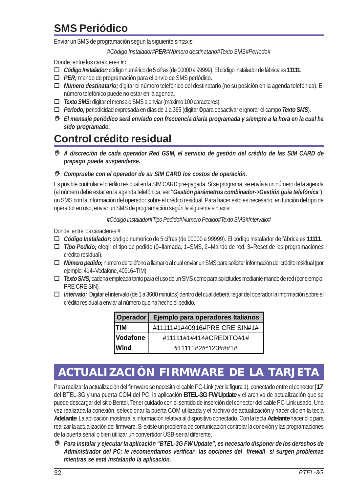# **SMS Periódico**

Enviar un SMS de programación según la siguiente sintaxis:

*#Código Instalador#PER#Número destinatario#Texto SMS#Período#*

Donde, entre los caracteres *#* **:**

- *Código Instalador;* código numérico de 5 cifras (de 00000 a 99999). El código instalador de fábrica es **11111**.
- *PER;* mando de programación para el envío de SMS periódico.
- *Número destinatario;* digitar el número telefónico del destinatario (no su posición en la agenda telefónica). El número telefónico puede no estar en la agenda.
- *Texto SMS;* digitar el mensaje SMS a enviar (máximo 100 caracteres).
- *Período;* periodicidad expresada en días de 1 a 365 (digitar **0** para desactivar e ignorar el campo *Texto SMS*).
- *El mensaje periódico será enviado con frecuencia diaria programada y siempre a la hora en la cual ha sido programado.*

### **Control crédito residual**

 *A discreción de cada operador Red GSM, el servicio de gestión del crédito de las SIM CARD de prepago puede suspenderse.*

#### *Compruebe con el operador de su SIM CARD los costos de operación.*

Es posible controlar el crédito residual en la SIM CARD pre-pagada. Si se programa, se envía a un número de la agenda (el número debe estar en la agenda telefónica, ver "*Gestión parámetros combinador->Gestión guía telefónica*"), un SMS con la información del operador sobre el crédito residual. Para hacer esto es necesario, en función del tipo de operador en uso, enviar un SMS de programación según la siguiente sintaxis:

#### *#Código Instalador#Tipo Pedido#Número Pedido#Texto SMS#Intervalo#*

Donde, entre los caracteres # :

- *Código Instalador;* código numérico de 5 cifras (de 00000 a 99999). El código instalador de fábrica es **11111**.
- *Tipo Pedido;* elegir el tipo de pedido (0=llamada, 1=SMS, 2=Mando de red, 3=Reset de las programaciones crédito residual).
- *Número pedido;* número de teléfono a llamar o al cual enviar un SMS para solicitar información del crédito residual (por ejemplo: 414=Vodafone, 40916=TIM).
- *Texto SMS;* cadena empleada tanto para el uso de un SMS como para solicitudes mediante mando de red (por ejemplo: PRE CRE SIN)*.*
- *Intervalo;* Digitar el intervalo (de 1 a 3600 minutos) dentro del cual deberá llegar del operador la información sobre el crédito residual a enviar al número que ha hecho el pedido.

| <b>Operador</b> | Ejemplo para operadores Italianos |
|-----------------|-----------------------------------|
| <b>TIM</b>      | #11111#1#40916#PRE CRE SIN#1#     |
| Vodafone        | #11111#1#414#CREDITO#1#           |
| lWind           | #11111#2#*123###1#                |

# **ACTUALIZACIÓN FIRMWARE DE LA TARJETA**

Para realizar la actualización del firmware se necesita el cable PC-Link (ver la figura 1), conectado entre el conector [**17**] del BTEL-3G y una puerta COM del PC, la aplicación **BTEL-3G FW Update** y el archivo de actualización que se puede descargar del sitio Bentel. Tener cuidado con el sentido de inserción del conector del cable PC-Link usado. Una vez realizada la conexión, seleccionar la puerta COM utilizada y el archivo de actualización y hacer clic en la tecla **Adelante**: La aplicación mostrará la información relativa al dispositivo conectado. Con la tecla **Adelante** hacer clic para realizar la actualización del firmware. Si existe un problema de comunicación controlar la conexión y las programaciones de la puerta serial o bien utilizar un convertidor USB-serial diferente.

 *Para instalar y ejecutar la aplicación "BTEL-3G FW Update", es necesario disponer de los derechos de Administrador del PC; le recomendamos verificar las opciones del firewall si surgen problemas mientras se está instalando la aplicación.*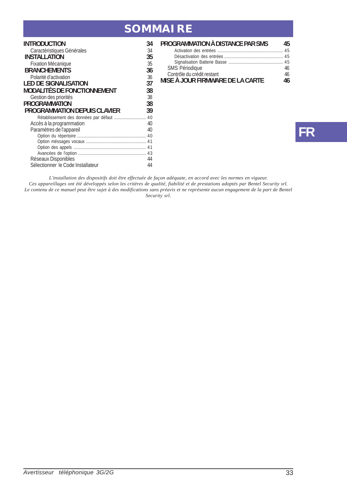### **SOMMAIRE**

| <b>INTRODUCTION</b>                       | 34 |
|-------------------------------------------|----|
| Caractéristiques Générales                | 34 |
| <b>INSTALLATION</b>                       | 35 |
| Fixation Mécanique                        | 35 |
| <b>BRANCHEMENTS</b>                       | 36 |
| Polarité d'activation                     | 36 |
| <b>LED DE SIGNALISATION</b>               | 37 |
| <b>MODALITÉS DE FONCTIONNEMENT</b>        | 38 |
| Gestion des priorités                     | 38 |
| <b>PROGRAMMATION</b>                      | 38 |
| PROGRAMMATION DEPUIS CLAVIER              | 39 |
| Rétablissement des données par défaut  40 |    |
| Accès à la programmation                  | 40 |
| Paramètres de l'appareil                  | 40 |
|                                           |    |
|                                           |    |
|                                           |    |
|                                           | 43 |
| Réseaux Disponibles                       | 44 |
| Sélectionner le Code Installateur         | 44 |
|                                           |    |

| PROGRAMMATION À DISTANCE PAR SMS | 45 |
|----------------------------------|----|
|                                  |    |
|                                  |    |
|                                  |    |
| SMS Périodique                   | 46 |
| Contrôle du crédit restant       | 46 |
| MISE À JOUR FIRMWARE DE LA CARTE | 46 |

# **FR**

L'installation des dispositifs doit être effectuée de façon adéquate, en accord avec les normes en vigueur.<br>Ces appareillages ont été développés selon les critères de qualité, fiabilité et de prestations adoptés par Bentel *Security srl.*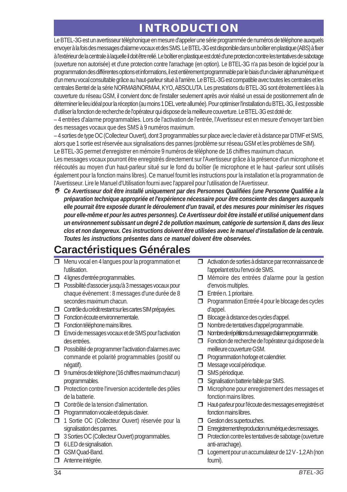# **INTRODUCTION**

Le BTEL-3G est un avertisseur téléphonique en mesure d'appeler une série programmée de numéros de téléphone auxquels envoyer à la fois des messages d'alarme vocaux et des SMS. Le BTEL-3G est disponible dans un boîtier en plastique (ABS) à fixer à l'extérieur de la centrale à laquelle il doit être relié. Le boîtier en plastique est doté d'une protection contre les tentatives de sabotage (ouverture non autorisée) et d'une protection contre l'arrachage (en option). Le BTEL-3G n'a pas besoin de logiciel pour la programmation des différentes options et informations, il est entièrement programmable par le biais d'un clavier alphanumérique et d'un menu vocal consultable grâce au haut-parleur situé à l'arrière. Le BTEL-3G est compatible avec toutes les centrales et les centrales Bentel de la série NORMA8/NORMA4, KYO, ABSOLUTA. Les prestations du BTEL-3G sont étroitement liées à la couverture du réseau GSM, il convient donc de l'installer seulement après avoir réalisé un essai de positionnement afin de déterminer le lieu idéal pour la réception (au moins 1 DEL verte allumée). Pour optimiser l'installation du BTEL-3G, il est possible d'utiliser la fonction de recherche de l'opérateur qui dispose de la meilleure couverture. Le BTEL-3G est doté de:

– 4 entrées d'alarme programmables. Lors de l'activation de l'entrée, l'Avertisseur est en mesure d'envoyer tant bien des messages vocaux que des SMS à 9 numéros maximum.

– 4 sorties de type OC (Collecteur Ouvert), dont 3 programmables sur place avec le clavier et à distance par DTMF et SMS, alors que 1 sortie est réservée aux signalisations des pannes (problème sur réseau GSM et les problèmes de SIM).

Le BTEL-3G permet d'enregistrer en mémoire 9 numéros de téléphone de 16 chiffres maximum chacun.

Les messages vocaux pourront être enregistrés directement sur l'Avertisseur grâce à la présence d'un microphone et réécoutés au moyen d'un haut-parleur situé sur le fond du boîtier (le microphone et le haut -parleur sont utilisés également pour la fonction mains libres). Ce manuel fournit les instructions pour la installation et la programmation de l'Avertisseur. Lire le Manuel d'Utilisation fourni avec l'appareil pour l'utilisation de l'Avertisseur.

 *Ce Avertisseur doit être installé uniquement par des Personnes Qualifiées (une Personne Qualifiée a la préparation technique appropriée et l'expérience nécessaire pour être consciente des dangers auxquels elle pourrait être exposée durant le déroulement d'un travail, et des mesures pour minimiser les risques pour elle-même et pour les autres personnes). Ce Avertisseur doit être installé et utilisé uniquement dans un environnement subissant un degré 2 de pollution maximum, catégorie de surtension II, dans des lieux clos et non dangereux. Ces instructions doivent être utilisées avec le manuel d'installation de la centrale. Toutes les instructions présentes dans ce manuel doivent être observées.*

# **Caractéristiques Générales**

- □ Menu vocal en 4 langues pour la programmation et l'utilisation.
- $\Box$  4 lignes d'entrée programmables.
- **Possibilité d'associer jusqu'à 3 messages vocaux pour** chaque évènement : 8 messages d'une durée de 8 secondes maximum chacun.
- Contrôle du crédit restant sur les cartes SIM prépayées.
- Fonction écoute environnementale.
- Fonction téléphone mains libres.
- Envoi de messages vocaux et de SMS pour l'activation des entrées.
- $\Box$  Possibilité de programmer l'activation d'alarmes avec commande et polarité programmables (positif ou négatif).
- 9 numéros de téléphone (16 chiffres maximum chacun) programmables.
- $\Box$  Protection contre l'inversion accidentelle des pôles de la batterie.
- Contrôle de la tension d'alimentation.
- **Programmation vocale et depuis clavier.**
- 1 Sortie OC (Collecteur Ouvert) réservée pour la signalisation des pannes.
- **3 Sorties OC (Collecteur Ouvert) programmables.**
- **5** 6 LED de signalisation.
- GSM Quad-Band.
- Antenne intégrée.
- Activation de sorties à distance par reconnaissance de l'appelant et/ou l'envoi de SMS.
- Mémoire des entrées d'alarme pour la gestion d'envois multiples.
- Entrée n. 1 prioritaire.
- **Programmation Entrée 4 pour le blocage des cycles** d'appel.
- Blocage à distance des cycles d'appel.
- Nombre de tentatives d'appel programmable.
- $\Box$  Nombre de répétitions du message d'alarme programmable.
- Fonction de recherche de l'opérateur qui dispose de la meilleure couverture GSM.
- **Programmation horloge et calendrier.**
- Message vocal périodique.
- SMS périodique.
- **Signalisation batterie faible par SMS.**
- $\Box$  Microphone pour enregistrement des messages et fonction mains libres.
- Haut-parleur pour l'écoute des messages enregistrés et fonction mains libres.
- Gestion des supertouches.
- Enregistrement/reproduction numérique des messages.
- $\Box$  Protection contre les tentatives de sabotage (ouverture anti-arrachage).
- □ Logement pour un accumulateur de 12 V 1,2 Ah (non fourni).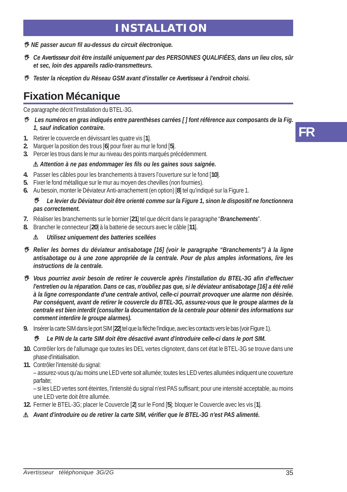### **INSTALLATION**

- *NE passer aucun fil au-dessus du circuit électronique.*
- *Ce Avertisseur doit être installé uniquement par des PERSONNES QUALIFIÉES, dans un lieu clos, sûr et sec, loin des appareils radio-transmetteurs.*
- *Tester la réception du Réseau GSM avant d'installer ce Avertisseur à l'endroit choisi.*

# **Fixation Mécanique**

Ce paragraphe décrit l'installation du BTEL-3G.

- *Les numéros en gras indiqués entre parenthèses carrées [ ] font référence aux composants de la Fig. 1, sauf indication contraire.*
- **1.** Retirer le couvercle en dévissant les quatre vis [**1**].
- **2.** Marquer la position des trous [**6**] pour fixer au mur le fond [**5**].
- **3.** Percer les trous dans le mur au niveau des points marqués précédemment.

#### ! *Attention à ne pas endommager les fils ou les gaines sous saignée.*

- **4.** Passer les câbles pour les branchements à travers l'ouverture sur le fond [**10**].
- **5.** Fixer le fond métallique sur le mur au moyen des chevilles (non fournies).
- **6.** Au besoin, monter le Déviateur Anti-arrachement (en option) [**8**] tel qu'indiqué sur la Figure 1.

#### *Le levier du Déviateur doit être orienté comme sur la Figure 1, sinon le dispositif ne fonctionnera pas correctement.*

- **7.** Réaliser les branchements sur le bornier [**21**] tel que décrit dans le paragraphe "*Branchements*".
- **8.** Brancher le connecteur [**20**] à la batterie de secours avec le câble [**11**].

#### ! *Utilisez uniquement des batteries scellées*

- *Relier les bornes du déviateur antisabotage [16] (voir le paragraphe "Branchements") à la ligne antisabotage ou à une zone appropriée de la centrale. Pour de plus amples informations, lire les instructions de la centrale.*
- *Vous pourriez avoir besoin de retirer le couvercle après l'installation du BTEL-3G afin d'effectuer l'entretien ou la réparation. Dans ce cas, n'oubliez pas que, si le déviateur antisabotage [16] a été relié à la ligne correspondante d'une centrale antivol, celle-ci pourrait provoquer une alarme non désirée. Par conséquent, avant de retirer le couvercle du BTEL-3G, assurez-vous que le groupe alarmes de la centrale est bien interdit (consulter la documentation de la centrale pour obtenir des informations sur comment interdire le groupe alarmes).*
- **9.** Insérer la carte SIM dans le port SIM [**22**] tel que la flèche l'indique, avec les contacts vers le bas (voir Figure 1).

#### *Le PIN de la carte SIM doit être désactivé avant d'introduire celle-ci dans le port SIM.*

- **10.** Contrôler lors de l'allumage que toutes les DEL vertes clignotent, dans cet état le BTEL-3G se trouve dans une phase d'initialisation.
- **11.** Contrôler l'intensité du signal:

– assurez-vous qu'au moins une LED verte soit allumée; toutes les LED vertes allumées indiquent une couverture parfaite;

– si les LED vertes sont éteintes, l'intensité du signal n'est PAS suffisant; pour une intensité acceptable, au moins une LED verte doit être allumée.

- **12.** Fermer le BTEL-3G; placer le Couvercle [**2**] sur le Fond [**5**]; bloquer le Couvercle avec les vis [**1**].
- ! *Avant d'introduire ou de retirer la carte SIM, vérifier que le BTEL-3G n'est PAS alimenté.*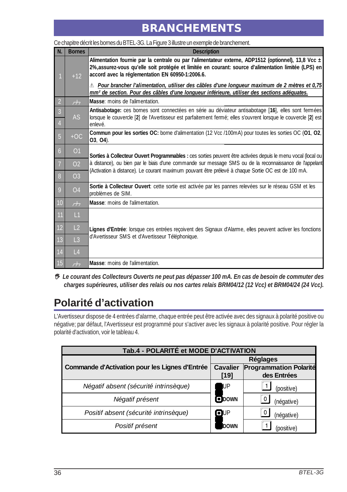# **BRANCHEMENTS**

| N.             | <b>Bornes</b>            | <b>Description</b>                                                                                                                                                                                                                                              |
|----------------|--------------------------|-----------------------------------------------------------------------------------------------------------------------------------------------------------------------------------------------------------------------------------------------------------------|
|                | $+12$                    | Alimentation fournie par la centrale ou par l'alimentateur externe, ADP1512 (optionnel), 13,8 Vcc ±<br>2%, assurez-vous qu'elle soit protégée et limitée en courant: source d'alimentation limitée (LPS) en<br>accord avec la réglementation EN 60950-1:2006.6. |
|                |                          | $\mathbb{\Lambda}$ Pour brancher l'alimentation, utiliser des câbles d'une longueur maximum de 2 mètres et 0,75<br>mm <sup>2</sup> de section. Pour des câbles d'une longueur inférieure, utiliser des sections adéquates.                                      |
| $\overline{2}$ | H                        | Masse: moins de l'alimentation.                                                                                                                                                                                                                                 |
| $\overline{3}$ | <b>AS</b>                | Antisabotage: ces bornes sont connectées en série au déviateur antisabotage [16], elles sont fermées<br>lorsque le couvercle [2] de l'Avertisseur est parfaitement fermé; elles s'ouvrent lorsque le couvercle [2] est                                          |
| 4              |                          | enlevé.                                                                                                                                                                                                                                                         |
| $\overline{5}$ | $+OC$                    | Commun pour les sorties OC: borne d'alimentation (12 Vcc /100mA) pour toutes les sorties OC (01, 02,<br>03, 04).                                                                                                                                                |
| $\overline{6}$ | O <sub>1</sub>           | Sorties à Collecteur Ouvert Programmables : ces sorties peuvent être activées depuis le menu vocal (local ou                                                                                                                                                    |
|                | O <sub>2</sub>           | à distance), ou bien par le biais d'une commande sur message SMS ou de la reconnaissance de l'appelant<br>(Activation à distance). Le courant maximum pouvant être prélevé à chaque Sortie OC est de 100 mA.                                                    |
| 8              | O <sub>3</sub>           |                                                                                                                                                                                                                                                                 |
| 9              | O <sub>4</sub>           | Sortie à Collecteur Ouvert: cette sortie est activée par les pannes relevées sur le réseau GSM et les<br>problèmes de SIM.                                                                                                                                      |
| 10             | $\overline{\mathcal{L}}$ | Masse: moins de l'alimentation.                                                                                                                                                                                                                                 |
| 11             | L1                       |                                                                                                                                                                                                                                                                 |
| 12             | L2                       | Lignes d'Entrée: lorsque ces entrées recoivent des Signaux d'Alarme, elles peuvent activer les fonctions                                                                                                                                                        |
| <b>13</b>      | $\overline{L}$ 3         | d'Avertisseur SMS et d'Avertisseur Téléphonique.                                                                                                                                                                                                                |
| 14             | $\lfloor 4 \rfloor$      |                                                                                                                                                                                                                                                                 |
| $\vert$ 15     | $\overline{\mathcal{L}}$ | Masse: moins de l'alimentation.                                                                                                                                                                                                                                 |

#### Ce chapitre décrit les bornes du BTEL-3G. La Figure 3 illustre un exemple de branchement.

 *Le courant des Collecteurs Ouverts ne peut pas dépasser 100 mA. En cas de besoin de commuter des charges supérieures, utiliser des relais ou nos cartes relais BRM04/12 (12 Vcc) et BRM04/24 (24 Vcc).*

# **Polarité d'activation**

L'Avertisseur dispose de 4 entrées d'alarme, chaque entrée peut être activée avec des signaux à polarité positive ou négative; par défaut, l'Avertisseur est programmé pour s'activer avec les signaux à polarité positive. Pour régler la polarité d'activation, voir le tableau 4.

| Tab.4 - POLARITÉ et MODE D'ACTIVATION          |                 |                               |  |  |
|------------------------------------------------|-----------------|-------------------------------|--|--|
|                                                | <b>Réglages</b> |                               |  |  |
| Commande d'Activation pour les Lignes d'Entrée | <b>Cavalier</b> | <b>Programmation Polarité</b> |  |  |
|                                                | [19]            | des Entrées                   |  |  |
| Négatif absent (sécurité intrinsèque)          | UP              | (positive)                    |  |  |
| Négatif présent                                | <b>ODOWN</b>    | (négative)                    |  |  |
| Positif absent (sécurité intrinsèque)          | $\blacksquare$  | (négative)                    |  |  |
| Positif présent                                | DOWN            | (positive)                    |  |  |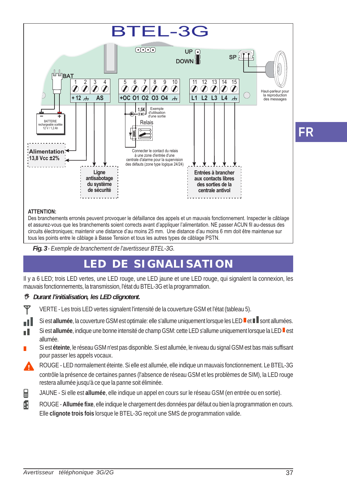

**ATTENTION:**

пĪ

Des branchements erronés peuvent provoquer le défaillance des appels et un mauvais fonctionnement. Inspecter le câblage et assurez-vous que les branchements soient corrects avant d'appliquer l'alimentation. NE passer ACUN fil au-dessus des circuits électroniques; maintenir une distance d'au moins 25 mm. Une distance d'au moins 6 mm doit être maintenue sur tous les points entre le câblage à Basse Tension et tous les autres types de câblage PSTN.

*Fig. 3 - Exemple de branchement de l'avertisseur BTEL-3G.*

# **LED DE SIGNALISATION**

Il y a 6 LED; trois LED vertes, une LED rouge, une LED jaune et une LED rouge, qui signalent la connexion, les mauvais fonctionnements, la transmission, l'état du BTEL-3G et la programmation.

#### *Durant l'initialisation, les LED clignotent.*

Y VERTE - Les trois LED vertes signalent l'intensité de la couverture GSM et l'état (tableau 5).

- Si est allumée, la couverture GSM est optimale: elle s'allume uniquement lorsque les LED <sup>le</sup> et la sont allumées.
- Si est **allumée**, indique une bonne intensité de champ GSM: cette LED s'allume uniquement lorsque la LED est n I allumée.
- Si est **éteinte**, le réseau GSM n'est pas disponible. Si est allumée, le niveau du signal GSM est bas mais suffisant pour passer les appels vocaux.
- ROUGE LED normalement éteinte. Si elle est allumée, elle indique un mauvais fonctionnement. Le BTEL-3G contrôle la présence de certaines pannes (l'absence de réseau GSM et les problèmes de SIM), la LED rouge restera allumée jusqu'à ce que la panne soit éliminée.
- 日 JAUNE - Si elle est **allumée**, elle indique un appel en cours sur le réseau GSM (en entrée ou en sortie).
- Æ ROUGE - **Allumée fixe**, elle indique le chargement des données par défaut ou bien la programmation en cours. Elle **clignote trois fois** lorsque le BTEL-3G reçoit une SMS de programmation valide.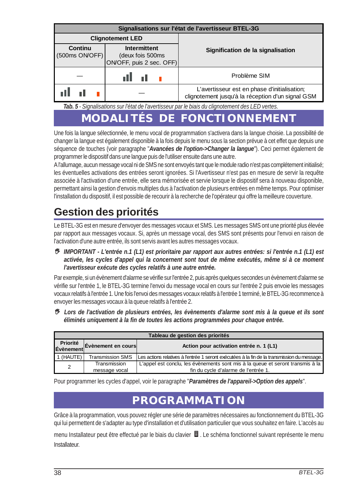| Signalisations sur l'état de l'avertisseur BTEL-3G |                                                              |                                                                                                   |  |  |
|----------------------------------------------------|--------------------------------------------------------------|---------------------------------------------------------------------------------------------------|--|--|
|                                                    | <b>Clignotement LED</b>                                      |                                                                                                   |  |  |
| Continu<br>(500ms ON/OFF)                          | Intermittent<br>(deux fois 500ms<br>ON/OFF, puis 2 sec. OFF) | Signification de la signalisation                                                                 |  |  |
|                                                    | n Hill                                                       | Problème SIM                                                                                      |  |  |
|                                                    |                                                              | L'avertisseur est en phase d'initialisation;<br>clignotement jusqu'à la réception d'un signal GSM |  |  |

*Tab. 5 - Signalisations sur l'état de l'avertisseur par le biais du clignotement des LED vertes.*

# **MODALITÉS DE FONCTIONNEMENT**

Une fois la langue sélectionnée, le menu vocal de programmation s'activera dans la langue choisie. La possibilité de changer la langue est également disponible à la fois depuis le menu sous la section prévue à cet effet que depuis une séquence de touches (voir paragraphe "*Avancées de l'option->Changer la langue*"). Ceci permet également de programmer le dispositif dans une langue puis de l'utiliser ensuite dans une autre.

A l'allumage, aucun message vocal ni de SMS ne sont envoyés tant que le module radio n'est pas complétement initialisé; les éventuelles activations des entrées seront ignorées. Si l'Avertisseur n'est pas en mesure de servir la requête associée à l'activation d'une entrée, elle sera mémorisée et servie lorsque le dispositif sera à nouveau disponible, permettant ainsi la gestion d'envois multiples dus à l'activation de plusieurs entrées en même temps. Pour optimiser l'installation du dispositif, il est possible de recourir à la recherche de l'opérateur qui offre la meilleure couverture.

# **Gestion des priorités**

Le BTEL-3G est en mesure d'envoyer des messages vocaux et SMS. Les messages SMS ont une priorité plus élevée par rapport aux messages vocaux. Si, après un message vocal, des SMS sont présents pour l'envoi en raison de l'activation d'une autre entrée, ils sont servis avant les autres messages vocaux.

 *IMPORTANT - L'entrée n.1 (L1) est prioritaire par rapport aux autres entrées: si l'entrée n.1 (L1) est activée, les cycles d'appel qui la concernent sont tout de même exécutés, même si à ce moment l'avertisseur exécute des cycles relatifs à une autre entrée.*

Par exemple, si un évènement d'alarme se vérifie sur l'entrée 2, puis après quelques secondes un évènement d'alarme se vérifie sur l'entrée 1, le BTEL-3G termine l'envoi du message vocal en cours sur l'entrée 2 puis envoie les messages vocaux relatifs à l'entrée 1. Une fois l'envoi des messages vocaux relatifs à l'entrée 1 terminé, le BTEL-3G recommence à envoyer les messages vocaux à la queue relatifs à l'entrée 2.

 *Lors de l'activation de plusieurs entrées, les évènements d'alarme sont mis à la queue et ils sont éliminés uniquement à la fin de toutes les actions programmées pour chaque entrée.*

| Priorité<br>Évènement Evènement en cours | Action pour activation entrée n. 1 (L1)                                                                                |
|------------------------------------------|------------------------------------------------------------------------------------------------------------------------|
| <b>Transmission SMS</b>                  | Les actions relatives à l'entrée 1 seront exécutées à la fin de la transmission du message.                            |
| Transmission                             | L'appel est conclu, les évènements sont mis à la queue et seront transmis à la<br>fin du cycle d'alarme de l'entrée 1. |
|                                          | message vocal                                                                                                          |

Pour programmer les cycles d'appel, voir le paragraphe "*Paramètres de l'appareil->Option des appels*".

# **PROGRAMMATION**

Grâce à la programmation, vous pouvez régler une série de paramètres nécessaires au fonctionnement du BTEL-3G qui lui permettent de s'adapter au type d'installation et d'utilisation particulier que vous souhaitez en faire. L'accès au

menu Installateur peut être effectué par le biais du clavier  $\blacksquare$ . Le schéma fonctionnel suivant représente le menu Installateur.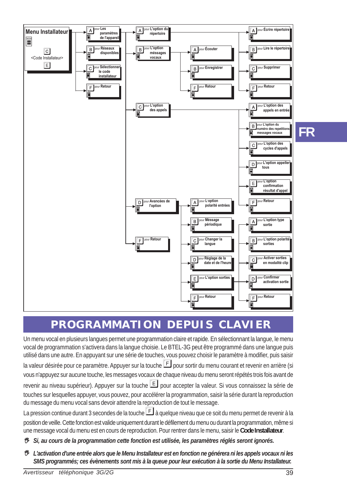

# **PROGRAMMATION DEPUIS CLAVIER**

Un menu vocal en plusieurs langues permet une programmation claire et rapide. En sélectionnant la langue, le menu vocal de programmation s'activera dans la langue choisie. Le BTEL-3G peut être programmé dans une langue puis utilisé dans une autre. En appuyant sur une série de touches, vous pouvez choisir le paramètre à modifier, puis saisir la valeur désirée pour ce paramètre. Appuyer sur la touche  $\mathbb E$  pour sortir du menu courant et revenir en arrière (si vous n'appuyez sur aucune touche, les messages vocaux de chaque niveau du menu seront répétés trois fois avant de revenir au niveau supérieur). Appuyer sur la touche  $\mathbb E$  pour accepter la valeur. Si vous connaissez la série de touches sur lesquelles appuyer, vous pouvez, pour accélérer la programmation, saisir la série durant la reproduction du message du menu vocal sans devoir attendre la reproduction de tout le message.

La pression continue durant 3 secondes de la touche  $E$  à quelque niveau que ce soit du menu permet de revenir à la position de veille. Cette fonction est valide uniquement durant le défilement du menu ou durant la programmation, même si une message vocal du menu est en cours de reproduction. Pour rentrer dans le menu, saisir le **Code Installateur**.

- *Si, au cours de la programmation cette fonction est utilisée, les paramètres réglés seront ignorés.*
- *L'activation d'une entrée alors que le Menu Installateur est en fonction ne générera ni les appels vocaux ni les SMS programmés; ces évènements sont mis à la queue pour leur exécution à la sortie du Menu Installateur.*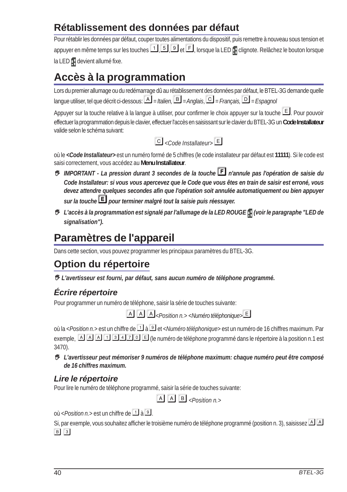### **Rétablissement des données par défaut**

Pour rétablir les données par défaut, couper toutes alimentations du dispositif, puis remettre à nouveau sous tension et appuyer en même temps sur les touches  $\Box$ ,  $\Box$  et  $\Box$ , lorsque la LED  $\Box$  clignote. Relâchez le bouton lorsque la LED devient allumé fixe.

# **Accès à la programmation**

Lors du premier allumage ou du redémarrage dû au rétablissement des données par défaut, le BTEL-3G demande quelle langue utiliser, tel que décrit ci-dessous: *= Italien,= Anglais*, *= Français,= Espagnol*

Appuyer sur la touche relative à la langue à utiliser, pour confirmer le choix appuyer sur la touche . Pour pouvoir effectuer la programmation depuis le clavier, effectuer l'accès en saisissant sur le clavier du BTEL-3G un **Code Installateur** valide selon le schéma suivant:

*<Code Installateur>*

où le *<Code Installateur>* est un numéro formé de 5 chiffres (le code installateur par défaut est **11111**). Si le code est saisi correctement, vous accédez au **Menu Installateur**.

- *IMPORTANT La pression durant 3 secondes de la touche n'annule pas l'opération de saisie du Code Installateur: si vous vous apercevez que le Code que vous êtes en train de saisir est erroné, vous devez attendre quelques secondes afin que l'opération soit annulée automatiquement ou bien appuyer sur la touche pour terminer malgré tout la saisie puis réessayer.*
- **<sup>®</sup>** L'accès à la programmation est signalé par l'allumage de la LED ROUGE (voir le paragraphe "LED de *signalisation").*

# **Paramètres de l'appareil**

Dans cette section, vous pouvez programmer les principaux paramètres du BTEL-3G.

# **Option du répertoire**

 *L'avertisseur est fourni, par défaut, sans aucun numéro de téléphone programmé.*

### *Écrire répertoire*

Pour programmer un numéro de téléphone, saisir la série de touches suivante:

*<Position n.> <Numéro téléphonique>*

où la <*Position n.*> est un chiffre de à et <*Numéro téléphonique*> est un numéro de 16 chiffres maximum. Par exemple, (le numéro de téléphone programmé dans le répertoire à la position n.1 est 3470).

 *L'avertisseur peut mémoriser 9 numéros de téléphone maximum: chaque numéro peut être composé de 16 chiffres maximum.*

### *Lire le répertoire*

Pour lire le numéro de téléphone programmé, saisir la série de touches suivante:

 $\boxed{A}$   $\boxed{A}$   $\boxed{B}$  < *Position n.>* 

où <*Position n.*> est un chiffre de  $\Box$  à  $\Box$ 

Si, par exemple, vous souhaitez afficher le troisième numéro de téléphone programmé (position n. 3), saisissez  $\Box$  $B$  3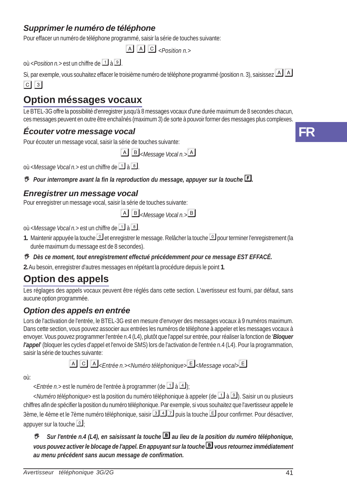### *Supprimer le numéro de téléphone*

Pour effacer un numéro de téléphone programmé, saisir la série de touches suivante:

 $\overline{A}$   $\overline{A}$   $\overline{C}$  *<Position n.>* 

 $où <$ *Position n.* > est un chiffre de  $\boxed{1}$  à  $\boxed{9}$ 

Si, par exemple, vous souhaitez effacer le troisième numéro de téléphone programmé (position n. 3), saisissez  $\boxed{A}\boxed{A}$  $Cl<sub>3</sub>$ 

### **Option méssages vocaux**

Le BTEL-3G offre la possibilité d'enregistrer jusqu'à 8 messages vocaux d'une durée maximum de 8 secondes chacun, ces messages peuvent en outre être enchaînés (maximum 3) de sorte à pouvoir former des messages plus complexes.

#### *Écouter votre message vocal*

Pour écouter un message vocal, saisir la série de touches suivante:

*<Message Vocal n.>*

 $o$ ù <*Message Vocal n.*> est un chiffre de  $\boxed{1}$  à  $\boxed{8}$ .

*Pour interrompre avant la fin la reproduction du message, appuyer sur la touche .*

### *Enregistrer un message vocal*

Pour enregistrer un message vocal, saisir la série de touches suivante:

*<Message Vocal n.>*

où <*Message Vocal n.*> est un chiffre de <sup>1</sup> à 8.

- 1. Maintenir appuyée la touche **D**et enregistrer le message. Relâcher la touche **D** pour terminer l'enregistrement (la durée maximum du message est de 8 secondes).
- *Dès ce moment, tout enregistrement effectué précédemment pour ce message EST EFFACÉ.*

**2.** Au besoin, enregistrer d'autres messages en répétant la procédure depuis le point **1**.

# **Option des appels**

Les réglages des appels vocaux peuvent être réglés dans cette section. L'avertisseur est fourni, par défaut, sans aucune option programmée.

### *Option des appels en entrée*

Lors de l'activation de l'entrée, le BTEL-3G est en mesure d'envoyer des messages vocaux à 9 numéros maximum. Dans cette section, vous pouvez associer aux entrées les numéros de téléphone à appeler et les messages vocaux à envoyer. Vous pouvez programmer l'entrée n.4 (L4), plutôt que l'appel sur entrée, pour réaliser la fonction de '*Bloquer l'appel*' (bloquer les cycles d'appel et l'envoi de SMS) lors de l'activation de l'entrée n.4 (L4). Pour la programmation, saisir la série de touches suivante:

*<Entrée n.><Numéro téléphonique><Message vocal>*

où:

 $\leq$ *Entrée n.*> est le numéro de l'entrée à programmer (de  $\boxed{1}$  à  $\boxed{4}$ );

<*Numéro téléphonique*> est la position du numéro téléphonique à appeler (de <sup>1</sup> à <sup>[9]</sup>). Saisir un ou plusieurs chiffres afin de spécifier la position du numéro téléphonique. Par exemple, si vous souhaitez que l'avertisseur appelle le 3ème, le 4ème et le 7ème numéro téléphonique, saisir **347** puis la touche **E** pour confirmer. Pour désactiver, appuyer sur la touche  $\Box$ 

 *Sur l'entrée n.4 (L4), en saisissant la touche au lieu de la position du numéro téléphonique, vous pouvez activer le blocage de l'appel. En appuyant sur la touche vous retournez immédiatement au menu précédent sans aucun message de confirmation.*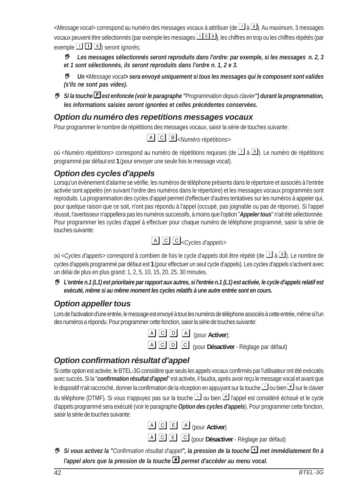<*Message vocal*> correspond au numéro des messages vocaux à attribuer (de **11** à **B**). Au maximum, 3 messages vocaux peuvent être sélectionnés (par exemple les messages  $\Box$  5  $\Box$ ), les chiffres en trop ou les chiffres répétés (par exemple  $\boxed{1}$   $\boxed{3}$  seront ignorés;

 *Les messages sélectionnés seront reproduits dans l'ordre: par exemple, si les messages n. 2, 3 et 1 sont sélectionnés, ils seront reproduits dans l'ordre n. 1, 2 e 3.*

 *Un <Message vocal> sera envoyé uniquement si tous les messages qui le composent sont valides (s'ils ne sont pas vides).*

 *Si la touche est enfoncée (voir le paragraphe "Programmation depuis clavier") durant la programmation, les informations saisies seront ignorées et celles précédentes conservées.*

### *Option du numéro des repetitions messages vocaux*

Pour programmer le nombre de répétitions des messages vocaux, saisir la série de touches suivante:

*<Numéro répétitions>*

où <*Numéro répétitions*> correspond au numéro de répétitions requises (de à ). Le numéro de répétitions programmé par défaut est **1** (pour envoyer une seule fois le message vocal).

### *Option des cycles d'appels*

Lorsqu'un évènement d'alarme se vérifie, les numéros de téléphone présents dans le répertoire et associés à l'entrée activée sont appelés (en suivant l'ordre des numéros dans le répertoire) et les messages vocaux programmés sont reproduits. La programmation des cycles d'appel permet d'effectuer d'autres tentatives sur les numéros à appeler qui, pour quelque raison que ce soit, n'ont pas répondu à l'appel (occupé, pas joignable ou pas de réponse). Si l'appel réussit, l'avertisseur n'appellera pas les numéros successifs, à moins que l'option "*Appeler tous*" n'ait été sélectionnée. Pour programmer les cycles d'appel à effectuer pour chaque numéro de téléphone programmé, saisir la série de touches suivante:



où *<Cycles d'appels>* correspond à combien de fois le cycle d'appels doit être répété (de à ). Le nombre de cycles d'appels programmé par défaut est **1** (pour effectuer un seul cycle d'appels). Les cycles d'appels s'activent avec un délai de plus en plus grand: 1, 2, 5, 10, 15, 20, 25, 30 minutes.

 *L'entrée n.1 (L1) est prioritaire par rapport aux autres, si l'entrée n.1 (L1) est activée, le cycle d'appels relatif est exécuté, même si au même moment les cycles relatifs à une autre entrée sont en cours.*

### *Option appeller tous*

Lors de l'activation d'une entrée, le message est envoyé à tous les numéros de téléphone associés à cette entrée, même si l'un des numéros a répondu. Pour programmer cette fonction, saisir la série de touches suivante:

(pour **Activer**);

(pour **Désactiver** - Réglage par défaut)

### *Option confirmation résultat d'appel*

Si cette option est activée, le BTEL-3G considère que seuls les appels vocaux confirmés par l'utilisateur ont été exécutés avec succès. Si la "*confirmation résultat d'appel*" est activée, il faudra, après avoir reçu le message vocal et avant que le dispositif n'ait raccroché, donner la confirmation de la réception en appuyant sur la touche  $\Box$  ou bien  $\Box$  sur le clavier du téléphone (DTMF). Si vous n'appuyez pas sur la touche  $\Box$  ou bien  $\Box$  l'appel est considéré échoué et le cycle d'appels programmé sera exécuté (voir le paragraphe *Option des cycles d'appels*). Pour programmer cette fonction, saisir la série de touches suivante:



(pour **Désactiver** - Réglage par défaut)

 *Si vous activez la "Confirmation résultat d'appel", la pression de la touche met immédiatement fin à l'appel alors que la pression de la touche i* permet d'accéder au menu vocal.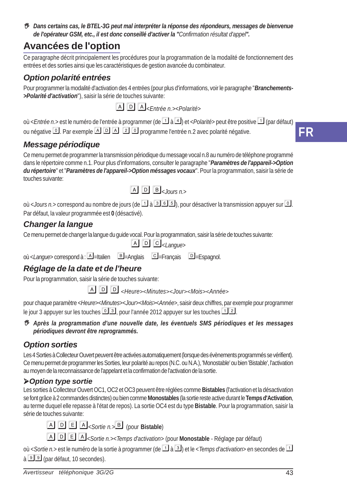*Dans certains cas, le BTEL-3G peut mal interpréter la réponse des répondeurs, messages de bienvenue de l'opérateur GSM, etc., il est donc conseillé d'activer la "Confirmation résultat d'appel".*

### **Avancées de l'option**

Ce paragraphe décrit principalement les procédures pour la programmation de la modalité de fonctionnement des entrées et des sorties ainsi que les caractéristiques de gestion avancée du combinateur.

### *Option polarité entrées*

Pour programmer la modalité d'activation des 4 entrées (pour plus d'informations, voir le paragraphe "*Branchements- >Polarité d'activation*"), saisir la série de touches suivante:

 $A$  $D$  $A$ <sub> $\leq$ *Fntrée n.>* $\leq$ *Polarité>*</sub>

où <*Entrée n.*> est le numéro de l'entrée à programmer (de à ) et <*Polarité*> peut être positive (par défaut) ou négative <sup>o d</sup>. Par exemple **A D A 2 D** programme l'entrée n.2 avec polarité négative.

### *Message périodique*

Ce menu permet de programmer la transmission périodique du message vocal n.8 au numéro de téléphone programmé dans le répertoire comme n.1. Pour plus d'informations, consulter le paragraphe "*Paramètres de l'appareil->Option du répertoire*" et "*Paramètres de l'appareil->Option méssages vocaux*". Pour la programmation, saisir la série de touches suivante:



où <*Jours n.*> correspond au nombre de jours (de  $\Box$ ) a  $\Box$   $\Box$ ), pour désactiver la transmission appuyer sur  $\Box$ . Par défaut, la valeur programmée est **0** (désactivé).

### *Changer la langue*

Ce menu permet de changer la langue du guide vocal. Pour la programmation, saisir la série de touches suivante:

*<Langue>*

où <*Langue*> correspond à : A = Italien = B = Anglais = E = Français = E = E = E = spagnol.

### *Réglage de la date et de l'heure*

Pour la programmation, saisir la série de touches suivante:

<*Heure*><*Minutes*><*Jour*><*Mois*><*Année*<sup>&</sup>gt;

pour chaque paramètre <*Heure*><*Minutes*><*Jour*><*Mois*><*Année*>, saisir deux chiffres, par exemple pour programmer le jour 3 appuyer sur les touches  $\boxed{\circ}$  3, pour l'année 2012 appuyer sur les touches  $\boxed{\cdot\,}$ 2.

 *Après la programmation d'une nouvelle date, les éventuels SMS périodiques et les messages périodiques devront être reprogrammés.*

### *Option sorties*

Les 4 Sorties à Collecteur Ouvert peuvent être activées automatiquement (lorsque des évènements programmés se vérifient). Ce menu permet de programmer les Sorties, leur polarité au repos (N.C. ou N.A.), 'Monostable' ou bien 'Bistable', l'activation au moyen de la reconnaissance de l'appelant et la confirmation de l'activation de la sortie.

### *Option type sortie*

Les sorties à Collecteur Ouvert OC1, OC2 et OC3 peuvent être réglées comme **Bistables** (l'activation et la désactivation se font grâce à 2 commandes distinctes) ou bien comme **Monostables** (la sortie reste active durant le **Temps d'Activation**, au terme duquel elle repasse à l'état de repos). La sortie OC4 est du type **Bistable**. Pour la programmation, saisir la série de touches suivante:

 $\boxed{A}$   $\boxed{D}$   $\boxed{E}$   $\boxed{A}$ *<Sortie n.*  $\boxed{B}$  (pour **Bistable**)

*<Sortie n.><Temps d'activation>* (pour **Monostable** - Réglage par défaut)

où <*Sortie n.*> est le numéro de la sortie à programmer (de **1** à **3**) et le < *Temps d'activation*> en secondes de **1**  $a \overline{9}$  (par défaut, 10 secondes).

**FR**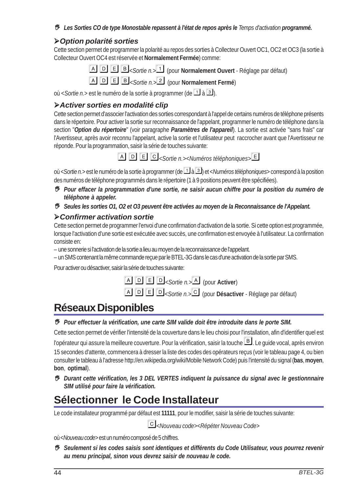*Les Sorties CO de type Monostable repassent à l'état de repos après le Temps d'activation programmé.*

#### *Option polarité sorties*

Cette section permet de programmer la polarité au repos des sorties à Collecteur Ouvert OC1, OC2 et OC3 (la sortie à Collecteur Ouvert OC4 est réservée et **Normalement Fermée**) comme:

**A D E B** *< Sortie n.*  $\Box$  (pour **Normalement Ouvert** - Réglage par défaut)

*<Sortie n.>* (pour **Normalement Fermé**)

où < *Sortie n.* > est le numéro de la sortie à programmer (de  $\Box$ ) à  $\Box$ ).

#### *Activer sorties en modalité clip*

Cette section permet d'associer l'activation des sorties correspondant à l'appel de certains numéros de téléphone présents dans le répertoire. Pour activer la sortie sur reconnaissance de l'appelant, programmer le numéro de téléphone dans la section "*Option du répertoire*" (voir paragraphe *Paramètres de l'appareil*). La sortie est activée "sans frais" car l'Avertisseur, après avoir reconnu l'appelant, active la sortie et l'utilisateur peut raccrocher avant que l'Avertisseur ne réponde. Pour la programmation, saisir la série de touches suivante:



*<Sortie n.><Numéros téléphoniques>*

où <*Sortie n.*> est le numéro de la sortie à programmer (de à ) et <*Numéros téléphoniques*> correspond à la position des numéros de téléphone programmés dans le répertoire (1 à 9 positions peuvent être spécifiées).

 *Pour effacer la programmation d'une sortie, ne saisir aucun chiffre pour la position du numéro de téléphone à appeler.*

*Seules les sorties O1, O2 et O3 peuvent être activées au moyen de la Reconnaissance de l'Appelant.*

#### *Confirmer activation sortie*

Cette section permet de programmer l'envoi d'une confirmation d'activation de la sortie. Si cette option est programmée, lorsque l'activation d'une sortie est exécutée avec succès, une confirmation est envoyée à l'utilisateur. La confirmation consiste en:

- une sonnerie si l'activation de la sortie a lieu au moyen de la reconnaissance de l'appelant.
- un SMS contenant la même commande reçue par le BTEL-3G dans le cas d'une activation de la sortie par SMS.

Pour activer ou désactiver, saisir la série de touches suivante:

 $\boxed{A}$   $\boxed{D}$   $\boxed{E}$   $\boxed{D}$ *<Sortie n.*> $\boxed{A}$  (pour **Activer**) *<Sortie n.>* (pour **Désactiver** - Réglage par défaut)

# **Réseaux Disponibles**

#### *Pour effectuer la vérification, une carte SIM valide doit être introduite dans le porte SIM.*

Cette section permet de vérifier l'intensité de la couverture dans le lieu choisi pour l'installation, afin d'identifier quel est

l'opérateur qui assure la meilleure couverture. Pour la vérification, saisir la touche  $\mathbb{B}$ . Le quide vocal, après environ 15 secondes d'attente, commencera à dresser la liste des codes des opérateurs reçus (voir le tableau page 4, ou bien consulter le tableau à l'adresse http://en.wikipedia.org/wiki/Mobile Network Code) puis l'intensité du signal (**bas**, **moyen**, **bon**, **optimal**).

 *Durant cette vérification, les 3 DEL VERTES indiquent la puissance du signal avec le gestionnnaire SIM utilisé pour faire la vérification.*

# **Sélectionner le Code Installateur**

Le code installateur programmé par défaut est **11111**, pour le modifier, saisir la série de touches suivante:

*<Nouveau code><Répéter Nouveau Code>*

où <*Nouveau code*> est un numéro composé de 5 chiffres.

 *Seulement si les codes saisis sont identiques et différents du Code Utilisateur, vous pourrez revenir au menu principal, sinon vous devrez saisir de nouveau le code.*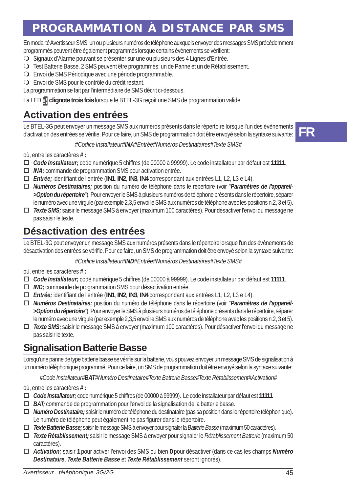# **PROGRAMMATION À DISTANCE PAR SMS**

En modalité Avertisseur SMS, un ou plusieurs numéros de téléphone auxquels envoyer des messages SMS précédemment programmés peuvent être également programmés lorsque certains évènements se vérifient:

- O Signaux d'Alarme pouvant se présenter sur une ou plusieurs des 4 Lignes d'Entrée.
- Test Batterie Basse. 2 SMS peuvent être programmés: un de Panne et un de Rétablissement.
- Envoi de SMS Périodique avec une période programmable.
- Envoi de SMS pour le contrôle du crédit restant.
- La programmation se fait par l'intermédiaire de SMS décrit ci-dessous.

La LED **c** clignote trois fois lorsque le BTEL-3G reçoit une SMS de programmation valide.

### **Activation des entrées**

Le BTEL-3G peut envoyer un message SMS aux numéros présents dans le répertoire lorsque l'un des évènements d'activation des entrées se vérifie. Pour ce faire, un SMS de programmation doit être envoyé selon la syntaxe suivante:

#### *#Codice Installateur#INA#Entrée#Numéros Destinataires#Texte SMS#*

où, entre les caractères *#* **:**

- *Code Installateur;* code numérique 5 chiffres (de 00000 à 99999). Le code installateur par défaut est **11111**.
- *INA;* commande de programmation SMS pour activation entrée.
- *Entrée;* identifiant de l'entrée (**IN1**, **IN2**, **IN3**, **IN4** correspondant aux entrées L1, L2, L3 e L4).
- *Numéros Destinataires;* position du numéro de téléphone dans le répertoire (voir "*Paramètres de l'appareil- >Option du répertoire*"). Pour envoyer le SMS à plusieurs numéros de téléphone présents dans le répertoire, séparer le numéro avec une virgule (par exemple 2,3,5 envoi le SMS aux numéros de téléphone avec les positions n.2, 3 et 5).
- *Texte SMS;* saisir le message SMS à envoyer (maximum 100 caractères). Pour désactiver l'envoi du message ne pas saisir le texte.

### **Désactivation des entrées**

Le BTEL-3G peut envoyer un message SMS aux numéros présents dans le répertoire lorsque l'un des évènements de désactivation des entrées se vérifie. Pour ce faire, un SMS de programmation doit être envoyé selon la syntaxe suivante:

*#Codice Installateur#IND#Entrée#Numéros Destinataires#Texte SMS#*

où, entre les caractères *#* **:**

- *Code Installateur;* code numérique 5 chiffres (de 00000 à 99999). Le code installateur par défaut est **11111**.
- *IND;* commande de programmation SMS pour désactivation entrée.
- *Entrée;* identifiant de l'entrée (**IN1**, **IN2**, **IN3**, **IN4** correspondant aux entrées L1, L2, L3 e L4).
- *Numéros Destinataires;* position du numéro de téléphone dans le répertoire (voir "*Paramètres de l'appareil- >Option du répertoire*"). Pour envoyer le SMS à plusieurs numéros de téléphone présents dans le répertoire, séparer le numéro avec une virgule (par exemple 2,3,5 envoi le SMS aux numéros de téléphone avec les positions n.2, 3 et 5).
- *Texte SMS;* saisir le message SMS à envoyer (maximum 100 caractères). Pour désactiver l'envoi du message ne pas saisir le texte.

### **Signalisation Batterie Basse**

Lorsqu'une panne de type batterie basse se vérifie sur la batterie, vous pouvez envoyer un message SMS de signalisation à un numéro téléphonique programmé. Pour ce faire, un SMS de programmation doit être envoyé selon la syntaxe suivante:

*#Code Installateur#BAT#Numéro Destinataire#Texte Batterie Basse#Texte Rétablissement#Activation#*

où, entre les caractères *#* **:**

- *Code Installateur;* code numérique 5 chiffres (de 00000 à 99999). Le code installateur par défaut est **11111**.
- *BAT;* commande de programmation pour l'envoi de la signalisation de la batterie basse.
- *Numéro Destinataire;* saisir le numéro de téléphone du destinataire (pas sa position dans le répertoire téléphonique). Le numéro de téléphone peut également ne pas figurer dans le répertoire.
- *Texte Batterie Basse;* saisir le message SMS à envoyer pour signaler la *Batterie Basse* (maximum 50 caractères).
- *Texte Rétablissement;* saisir le message SMS à envoyer pour signaler le *Rétablissement Batterie* (maximum 50 caractères).
- *Activation;* saisir **1** pour activer l'envoi des SMS ou bien **0** pour désactiver (dans ce cas les champs *Numéro Destinataire*, *Texte Batterie Basse* et *Texte Rétablissement* seront ignorés).

**FR**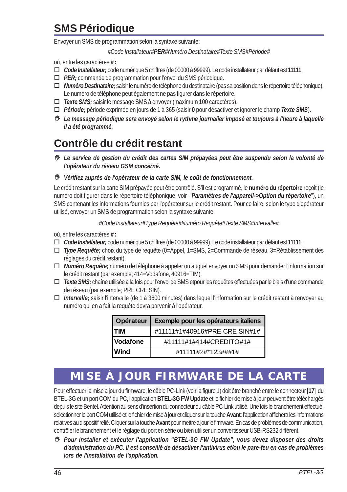# **SMS Périodique**

Envoyer un SMS de programmation selon la syntaxe suivante:

*#Code Installateur#PER#Numéro Destinataire#Texte SMS#Période#*

où, entre les caractères *#* **:**

- *Code Installateur;* code numérique 5 chiffres (de 00000 à 99999). Le code installateur par défaut est **11111**.
- *PER;* commande de programmation pour l'envoi du SMS périodique.
- *Numéro Destinataire;* saisir le numéro de téléphone du destinataire (pas sa position dans le répertoire téléphonique). Le numéro de téléphone peut également ne pas figurer dans le répertoire.
- *Texte SMS;* saisir le message SMS à envoyer (maximum 100 caractères).
- *Période;* période exprimée en jours de 1 à 365 (saisir **0** pour désactiver et ignorer le champ *Texte SMS*).
- *Le message périodique sera envoyé selon le rythme journalier imposé et toujours à l'heure à laquelle il a été programmé.*

# **Contrôle du crédit restant**

 *Le service de gestion du crédit des cartes SIM prépayées peut être suspendu selon la volonté de l'opérateur du réseau GSM concerné.*

*Vérifiez auprès de l'opérateur de la carte SIM, le coût de fonctionnement.*

Le crédit restant sur la carte SIM prépayée peut être contrôlé. S'il est programmé, le **numéro du répertoire** reçoit (le numéro doit figurer dans le répertoire téléphonique, voir "*Paramètres de l'appareil->Option du répertoire*"), un SMS contenant les informations fournies par l'opérateur sur le crédit restant. Pour ce faire, selon le type d'opérateur utilisé, envoyer un SMS de programmation selon la syntaxe suivante:

*#Code Installateur#Type Requête#Numéro Requête#Texte SMS#Intervalle#*

où, entre les caractères *#* **:**

- *Code Installateur;* code numérique 5 chiffres (de 00000 à 99999). Le code installateur par défaut est **11111**.
- *Type Requête;* choix du type de requête (0=Appel, 1=SMS, 2=Commande de réseau, 3=Rétablissement des réglages du crédit restant).
- *Numéro Requête;* numéro de téléphone à appeler ou auquel envoyer un SMS pour demander l'information sur le crédit restant (par exemple; 414=Vodafone, 40916=TIM).
- *Texte SMS;* chaîne utilisée à la fois pour l'envoi de SMS etpour les requêtes effectuées par le biais d'une commande de réseau (par exemple; PRE CRE SIN).
- *Intervalle;* saisir l'intervalle (de 1 à 3600 minutes) dans lequel l'information sur le crédit restant à renvoyer au numéro qui en a fait la requête devra parvenir à l'opérateur.

| Opérateur   | Exemple pour les opérateurs italiens |
|-------------|--------------------------------------|
| <b>ITIM</b> | #11111#1#40916#PRE CRE SIN#1#        |
| Vodafone    | #11111#1#414#CREDITO#1#              |
| <b>Wind</b> | #11111#2#*123###1#                   |

# **MISE À JOUR FIRMWARE DE LA CARTE**

Pour effectuer la mise à jour du firmware, le câble PC-Link (voir la figure 1) doit être branché entre le connecteur [**17**] du BTEL-3G et un port COM du PC, l'application **BTEL-3G FW Update** et le fichier de mise à jour peuvent être téléchargés depuis le site Bentel. Attention au sens d'insertion du connecteur du câble PC-Link utilisé. Une fois le branchement effectué, sélectionner le port COM utilisé et le fichier de mise à jour et cliquer sur la touche **Avant**: l'application affichera les informations relatives au dispositif relié. Cliquer sur la touche **Avant** pour mettre à jour le firmware. En cas de problèmes de communication, contrôler le branchement et le réglage du port en série ou bien utiliser un convertisseur USB-RS232 différent.

 *Pour installer et exécuter l'application "BTEL-3G FW Update", vous devez disposer des droits d'administration du PC. Il est conseillé de désactiver l'antivirus et/ou le pare-feu en cas de problèmes lors de l'installation de l'application.*